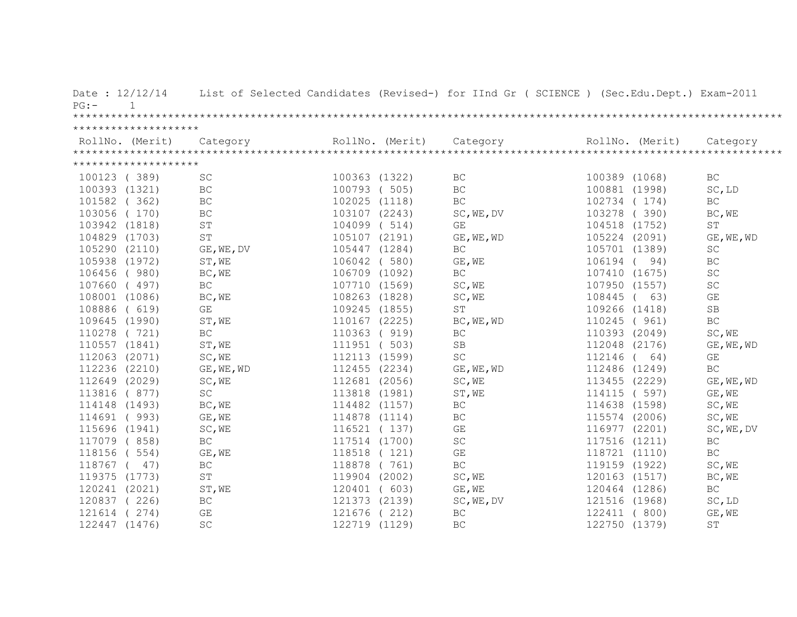| ********************<br>RollNo. (Merit)<br>RollNo. (Merit)<br>Category<br>RollNo. (Merit)<br>Category<br>Category<br>********************<br>100123 (389)<br>SC<br>100363 (1322)<br>BC<br>100389 (1068)<br>BC<br>100393 (1321)<br>BC<br>100793 ( 505)<br>BC<br>100881 (1998)<br>SC, LD<br>BC<br>102025 (1118)<br><b>BC</b><br>BC<br>101582 (362)<br>102734<br>(174)<br>103278<br>103056 (170)<br>BC<br>103107 (2243)<br>SC, WE, DV<br>(390)<br>BC, WE<br>103942 (1818)<br>$\operatorname{ST}$<br>104099 (514)<br>104518 (1752)<br>$\operatorname{ST}$<br>GE<br>ST<br>104829 (1703)<br>105107 (2191)<br>105224 (2091)<br>GE, WE, WD<br>GE, WE, WD<br>105290 (2110)<br>GE, WE, DV<br>105447 (1284)<br>BC<br>105701 (1389)<br>SC<br>106042 ( 580)<br>BC<br>105938 (1972)<br>ST, WE<br>GE, WE<br>106194<br>(94)<br>SC<br>106709 (1092)<br>$\operatorname{BC}$<br>107410 (1675)<br>106456 (980)<br>BC, WE<br>$\operatorname{SC}$<br>107660 (497)<br>BC<br>107710 (1569)<br>SC, WE<br>107950 (1557)<br>GE<br>108001 (1086)<br>BC, WE<br>108263 (1828)<br>SC, WE<br>108445<br>(63)<br>$\rm SB$<br>$\mathbb{G}\mathcal{E}$<br>109245 (1855)<br>$\operatorname{ST}$<br>109266 (1418)<br>108886 ( 619)<br>BC<br>109645 (1990)<br>ST, WE<br>110167 (2225)<br>110245 ( 961)<br>BC, WE, WD<br>SC, WE<br>110278 (721)<br>BC<br>110363 ( 919)<br>BC<br>110393 (2049)<br>110557 (1841)<br>ST, WE<br>111951 (503)<br>SB<br>112048 (2176)<br>GE, WE, WD<br>112063 (2071)<br>SC, WE<br>$\operatorname{SC}$<br>112113 (1599)<br>112146 ( 64)<br>GE<br>112236 (2210)<br>112455 (2234)<br>112486 (1249)<br><b>BC</b><br>GE, WE, WD<br>GE, WE, WD<br>112649 (2029)<br>112681 (2056)<br>SC, WE<br>113455 (2229)<br>GE, WE, WD<br>SC, WE<br>$\operatorname{SC}$<br>114115 ( 597)<br>GE, WE<br>113816 ( 877)<br>113818 (1981)<br>ST, WE<br>BC, WE<br>114482 (1157)<br>$\operatorname{BC}$<br>114638 (1598)<br>SC, WE<br>114148 (1493)<br>114691 (993)<br>GE, WE<br>114878 (1114)<br>BC<br>115574 (2006)<br>SC, WE<br>116977 (2201)<br>115696 (1941)<br>SC, WE<br>116521 (137)<br>GE<br>SC, WE, DV<br>$\operatorname{BC}$<br>117514 (1700)<br>$\operatorname{SC}$<br>117516 (1211)<br>$\operatorname{BC}$<br>117079 (858)<br>118518 (121)<br>$\mathbb{G}\mathcal{E}$<br>118721 (1110)<br>$\operatorname{BC}$<br>118156 ( 554)<br>GE, WE<br>$\operatorname{BC}$<br>118767 ( 47)<br>BC<br>118878 (761)<br>119159 (1922)<br>SC, WE<br>119375 (1773)<br>ST<br>119904 (2002)<br>SC, WE<br>120163 (1517)<br>BC, WE<br>120241 (2021)<br>120464 (1286)<br>$\operatorname{BC}$<br>ST, WE<br>120401 ( 603)<br>GE, WE<br>120837 (226)<br>BC<br>121373 (2139)<br>121516 (1968)<br>SC, LD<br>SC, WE, DV<br>121614<br>GE<br>121676 (212)<br><b>BC</b><br>122411 (800)<br>GE, WE<br>(274) | Date: $12/12/14$<br>$\mathbf{1}$<br>$PG:$ – |    |  | List of Selected Candidates (Revised-) for IInd Gr ( SCIENCE ) (Sec.Edu.Dept.) Exam-2011 |               |    |
|-------------------------------------------------------------------------------------------------------------------------------------------------------------------------------------------------------------------------------------------------------------------------------------------------------------------------------------------------------------------------------------------------------------------------------------------------------------------------------------------------------------------------------------------------------------------------------------------------------------------------------------------------------------------------------------------------------------------------------------------------------------------------------------------------------------------------------------------------------------------------------------------------------------------------------------------------------------------------------------------------------------------------------------------------------------------------------------------------------------------------------------------------------------------------------------------------------------------------------------------------------------------------------------------------------------------------------------------------------------------------------------------------------------------------------------------------------------------------------------------------------------------------------------------------------------------------------------------------------------------------------------------------------------------------------------------------------------------------------------------------------------------------------------------------------------------------------------------------------------------------------------------------------------------------------------------------------------------------------------------------------------------------------------------------------------------------------------------------------------------------------------------------------------------------------------------------------------------------------------------------------------------------------------------------------------------------------------------------------------------------------------------------------------------------------------------------------------------------------------------------------------------------------------------------------------------------------------------------------------------------------------------------------------------------------------------------------------------------------------------------|---------------------------------------------|----|--|------------------------------------------------------------------------------------------|---------------|----|
|                                                                                                                                                                                                                                                                                                                                                                                                                                                                                                                                                                                                                                                                                                                                                                                                                                                                                                                                                                                                                                                                                                                                                                                                                                                                                                                                                                                                                                                                                                                                                                                                                                                                                                                                                                                                                                                                                                                                                                                                                                                                                                                                                                                                                                                                                                                                                                                                                                                                                                                                                                                                                                                                                                                                                 |                                             |    |  |                                                                                          |               |    |
|                                                                                                                                                                                                                                                                                                                                                                                                                                                                                                                                                                                                                                                                                                                                                                                                                                                                                                                                                                                                                                                                                                                                                                                                                                                                                                                                                                                                                                                                                                                                                                                                                                                                                                                                                                                                                                                                                                                                                                                                                                                                                                                                                                                                                                                                                                                                                                                                                                                                                                                                                                                                                                                                                                                                                 |                                             |    |  |                                                                                          |               |    |
|                                                                                                                                                                                                                                                                                                                                                                                                                                                                                                                                                                                                                                                                                                                                                                                                                                                                                                                                                                                                                                                                                                                                                                                                                                                                                                                                                                                                                                                                                                                                                                                                                                                                                                                                                                                                                                                                                                                                                                                                                                                                                                                                                                                                                                                                                                                                                                                                                                                                                                                                                                                                                                                                                                                                                 |                                             |    |  |                                                                                          |               |    |
|                                                                                                                                                                                                                                                                                                                                                                                                                                                                                                                                                                                                                                                                                                                                                                                                                                                                                                                                                                                                                                                                                                                                                                                                                                                                                                                                                                                                                                                                                                                                                                                                                                                                                                                                                                                                                                                                                                                                                                                                                                                                                                                                                                                                                                                                                                                                                                                                                                                                                                                                                                                                                                                                                                                                                 |                                             |    |  |                                                                                          |               |    |
|                                                                                                                                                                                                                                                                                                                                                                                                                                                                                                                                                                                                                                                                                                                                                                                                                                                                                                                                                                                                                                                                                                                                                                                                                                                                                                                                                                                                                                                                                                                                                                                                                                                                                                                                                                                                                                                                                                                                                                                                                                                                                                                                                                                                                                                                                                                                                                                                                                                                                                                                                                                                                                                                                                                                                 |                                             |    |  |                                                                                          |               |    |
|                                                                                                                                                                                                                                                                                                                                                                                                                                                                                                                                                                                                                                                                                                                                                                                                                                                                                                                                                                                                                                                                                                                                                                                                                                                                                                                                                                                                                                                                                                                                                                                                                                                                                                                                                                                                                                                                                                                                                                                                                                                                                                                                                                                                                                                                                                                                                                                                                                                                                                                                                                                                                                                                                                                                                 |                                             |    |  |                                                                                          |               |    |
|                                                                                                                                                                                                                                                                                                                                                                                                                                                                                                                                                                                                                                                                                                                                                                                                                                                                                                                                                                                                                                                                                                                                                                                                                                                                                                                                                                                                                                                                                                                                                                                                                                                                                                                                                                                                                                                                                                                                                                                                                                                                                                                                                                                                                                                                                                                                                                                                                                                                                                                                                                                                                                                                                                                                                 |                                             |    |  |                                                                                          |               |    |
|                                                                                                                                                                                                                                                                                                                                                                                                                                                                                                                                                                                                                                                                                                                                                                                                                                                                                                                                                                                                                                                                                                                                                                                                                                                                                                                                                                                                                                                                                                                                                                                                                                                                                                                                                                                                                                                                                                                                                                                                                                                                                                                                                                                                                                                                                                                                                                                                                                                                                                                                                                                                                                                                                                                                                 |                                             |    |  |                                                                                          |               |    |
|                                                                                                                                                                                                                                                                                                                                                                                                                                                                                                                                                                                                                                                                                                                                                                                                                                                                                                                                                                                                                                                                                                                                                                                                                                                                                                                                                                                                                                                                                                                                                                                                                                                                                                                                                                                                                                                                                                                                                                                                                                                                                                                                                                                                                                                                                                                                                                                                                                                                                                                                                                                                                                                                                                                                                 |                                             |    |  |                                                                                          |               |    |
|                                                                                                                                                                                                                                                                                                                                                                                                                                                                                                                                                                                                                                                                                                                                                                                                                                                                                                                                                                                                                                                                                                                                                                                                                                                                                                                                                                                                                                                                                                                                                                                                                                                                                                                                                                                                                                                                                                                                                                                                                                                                                                                                                                                                                                                                                                                                                                                                                                                                                                                                                                                                                                                                                                                                                 |                                             |    |  |                                                                                          |               |    |
|                                                                                                                                                                                                                                                                                                                                                                                                                                                                                                                                                                                                                                                                                                                                                                                                                                                                                                                                                                                                                                                                                                                                                                                                                                                                                                                                                                                                                                                                                                                                                                                                                                                                                                                                                                                                                                                                                                                                                                                                                                                                                                                                                                                                                                                                                                                                                                                                                                                                                                                                                                                                                                                                                                                                                 |                                             |    |  |                                                                                          |               |    |
|                                                                                                                                                                                                                                                                                                                                                                                                                                                                                                                                                                                                                                                                                                                                                                                                                                                                                                                                                                                                                                                                                                                                                                                                                                                                                                                                                                                                                                                                                                                                                                                                                                                                                                                                                                                                                                                                                                                                                                                                                                                                                                                                                                                                                                                                                                                                                                                                                                                                                                                                                                                                                                                                                                                                                 |                                             |    |  |                                                                                          |               |    |
|                                                                                                                                                                                                                                                                                                                                                                                                                                                                                                                                                                                                                                                                                                                                                                                                                                                                                                                                                                                                                                                                                                                                                                                                                                                                                                                                                                                                                                                                                                                                                                                                                                                                                                                                                                                                                                                                                                                                                                                                                                                                                                                                                                                                                                                                                                                                                                                                                                                                                                                                                                                                                                                                                                                                                 |                                             |    |  |                                                                                          |               |    |
|                                                                                                                                                                                                                                                                                                                                                                                                                                                                                                                                                                                                                                                                                                                                                                                                                                                                                                                                                                                                                                                                                                                                                                                                                                                                                                                                                                                                                                                                                                                                                                                                                                                                                                                                                                                                                                                                                                                                                                                                                                                                                                                                                                                                                                                                                                                                                                                                                                                                                                                                                                                                                                                                                                                                                 |                                             |    |  |                                                                                          |               |    |
|                                                                                                                                                                                                                                                                                                                                                                                                                                                                                                                                                                                                                                                                                                                                                                                                                                                                                                                                                                                                                                                                                                                                                                                                                                                                                                                                                                                                                                                                                                                                                                                                                                                                                                                                                                                                                                                                                                                                                                                                                                                                                                                                                                                                                                                                                                                                                                                                                                                                                                                                                                                                                                                                                                                                                 |                                             |    |  |                                                                                          |               |    |
|                                                                                                                                                                                                                                                                                                                                                                                                                                                                                                                                                                                                                                                                                                                                                                                                                                                                                                                                                                                                                                                                                                                                                                                                                                                                                                                                                                                                                                                                                                                                                                                                                                                                                                                                                                                                                                                                                                                                                                                                                                                                                                                                                                                                                                                                                                                                                                                                                                                                                                                                                                                                                                                                                                                                                 |                                             |    |  |                                                                                          |               |    |
|                                                                                                                                                                                                                                                                                                                                                                                                                                                                                                                                                                                                                                                                                                                                                                                                                                                                                                                                                                                                                                                                                                                                                                                                                                                                                                                                                                                                                                                                                                                                                                                                                                                                                                                                                                                                                                                                                                                                                                                                                                                                                                                                                                                                                                                                                                                                                                                                                                                                                                                                                                                                                                                                                                                                                 |                                             |    |  |                                                                                          |               |    |
|                                                                                                                                                                                                                                                                                                                                                                                                                                                                                                                                                                                                                                                                                                                                                                                                                                                                                                                                                                                                                                                                                                                                                                                                                                                                                                                                                                                                                                                                                                                                                                                                                                                                                                                                                                                                                                                                                                                                                                                                                                                                                                                                                                                                                                                                                                                                                                                                                                                                                                                                                                                                                                                                                                                                                 |                                             |    |  |                                                                                          |               |    |
|                                                                                                                                                                                                                                                                                                                                                                                                                                                                                                                                                                                                                                                                                                                                                                                                                                                                                                                                                                                                                                                                                                                                                                                                                                                                                                                                                                                                                                                                                                                                                                                                                                                                                                                                                                                                                                                                                                                                                                                                                                                                                                                                                                                                                                                                                                                                                                                                                                                                                                                                                                                                                                                                                                                                                 |                                             |    |  |                                                                                          |               |    |
|                                                                                                                                                                                                                                                                                                                                                                                                                                                                                                                                                                                                                                                                                                                                                                                                                                                                                                                                                                                                                                                                                                                                                                                                                                                                                                                                                                                                                                                                                                                                                                                                                                                                                                                                                                                                                                                                                                                                                                                                                                                                                                                                                                                                                                                                                                                                                                                                                                                                                                                                                                                                                                                                                                                                                 |                                             |    |  |                                                                                          |               |    |
|                                                                                                                                                                                                                                                                                                                                                                                                                                                                                                                                                                                                                                                                                                                                                                                                                                                                                                                                                                                                                                                                                                                                                                                                                                                                                                                                                                                                                                                                                                                                                                                                                                                                                                                                                                                                                                                                                                                                                                                                                                                                                                                                                                                                                                                                                                                                                                                                                                                                                                                                                                                                                                                                                                                                                 |                                             |    |  |                                                                                          |               |    |
|                                                                                                                                                                                                                                                                                                                                                                                                                                                                                                                                                                                                                                                                                                                                                                                                                                                                                                                                                                                                                                                                                                                                                                                                                                                                                                                                                                                                                                                                                                                                                                                                                                                                                                                                                                                                                                                                                                                                                                                                                                                                                                                                                                                                                                                                                                                                                                                                                                                                                                                                                                                                                                                                                                                                                 |                                             |    |  |                                                                                          |               |    |
|                                                                                                                                                                                                                                                                                                                                                                                                                                                                                                                                                                                                                                                                                                                                                                                                                                                                                                                                                                                                                                                                                                                                                                                                                                                                                                                                                                                                                                                                                                                                                                                                                                                                                                                                                                                                                                                                                                                                                                                                                                                                                                                                                                                                                                                                                                                                                                                                                                                                                                                                                                                                                                                                                                                                                 |                                             |    |  |                                                                                          |               |    |
|                                                                                                                                                                                                                                                                                                                                                                                                                                                                                                                                                                                                                                                                                                                                                                                                                                                                                                                                                                                                                                                                                                                                                                                                                                                                                                                                                                                                                                                                                                                                                                                                                                                                                                                                                                                                                                                                                                                                                                                                                                                                                                                                                                                                                                                                                                                                                                                                                                                                                                                                                                                                                                                                                                                                                 |                                             |    |  |                                                                                          |               |    |
|                                                                                                                                                                                                                                                                                                                                                                                                                                                                                                                                                                                                                                                                                                                                                                                                                                                                                                                                                                                                                                                                                                                                                                                                                                                                                                                                                                                                                                                                                                                                                                                                                                                                                                                                                                                                                                                                                                                                                                                                                                                                                                                                                                                                                                                                                                                                                                                                                                                                                                                                                                                                                                                                                                                                                 |                                             |    |  |                                                                                          |               |    |
|                                                                                                                                                                                                                                                                                                                                                                                                                                                                                                                                                                                                                                                                                                                                                                                                                                                                                                                                                                                                                                                                                                                                                                                                                                                                                                                                                                                                                                                                                                                                                                                                                                                                                                                                                                                                                                                                                                                                                                                                                                                                                                                                                                                                                                                                                                                                                                                                                                                                                                                                                                                                                                                                                                                                                 |                                             |    |  |                                                                                          |               |    |
|                                                                                                                                                                                                                                                                                                                                                                                                                                                                                                                                                                                                                                                                                                                                                                                                                                                                                                                                                                                                                                                                                                                                                                                                                                                                                                                                                                                                                                                                                                                                                                                                                                                                                                                                                                                                                                                                                                                                                                                                                                                                                                                                                                                                                                                                                                                                                                                                                                                                                                                                                                                                                                                                                                                                                 |                                             |    |  |                                                                                          |               |    |
|                                                                                                                                                                                                                                                                                                                                                                                                                                                                                                                                                                                                                                                                                                                                                                                                                                                                                                                                                                                                                                                                                                                                                                                                                                                                                                                                                                                                                                                                                                                                                                                                                                                                                                                                                                                                                                                                                                                                                                                                                                                                                                                                                                                                                                                                                                                                                                                                                                                                                                                                                                                                                                                                                                                                                 |                                             |    |  |                                                                                          |               |    |
|                                                                                                                                                                                                                                                                                                                                                                                                                                                                                                                                                                                                                                                                                                                                                                                                                                                                                                                                                                                                                                                                                                                                                                                                                                                                                                                                                                                                                                                                                                                                                                                                                                                                                                                                                                                                                                                                                                                                                                                                                                                                                                                                                                                                                                                                                                                                                                                                                                                                                                                                                                                                                                                                                                                                                 |                                             |    |  |                                                                                          |               |    |
|                                                                                                                                                                                                                                                                                                                                                                                                                                                                                                                                                                                                                                                                                                                                                                                                                                                                                                                                                                                                                                                                                                                                                                                                                                                                                                                                                                                                                                                                                                                                                                                                                                                                                                                                                                                                                                                                                                                                                                                                                                                                                                                                                                                                                                                                                                                                                                                                                                                                                                                                                                                                                                                                                                                                                 |                                             |    |  |                                                                                          |               |    |
|                                                                                                                                                                                                                                                                                                                                                                                                                                                                                                                                                                                                                                                                                                                                                                                                                                                                                                                                                                                                                                                                                                                                                                                                                                                                                                                                                                                                                                                                                                                                                                                                                                                                                                                                                                                                                                                                                                                                                                                                                                                                                                                                                                                                                                                                                                                                                                                                                                                                                                                                                                                                                                                                                                                                                 |                                             |    |  |                                                                                          |               |    |
|                                                                                                                                                                                                                                                                                                                                                                                                                                                                                                                                                                                                                                                                                                                                                                                                                                                                                                                                                                                                                                                                                                                                                                                                                                                                                                                                                                                                                                                                                                                                                                                                                                                                                                                                                                                                                                                                                                                                                                                                                                                                                                                                                                                                                                                                                                                                                                                                                                                                                                                                                                                                                                                                                                                                                 |                                             |    |  |                                                                                          |               |    |
|                                                                                                                                                                                                                                                                                                                                                                                                                                                                                                                                                                                                                                                                                                                                                                                                                                                                                                                                                                                                                                                                                                                                                                                                                                                                                                                                                                                                                                                                                                                                                                                                                                                                                                                                                                                                                                                                                                                                                                                                                                                                                                                                                                                                                                                                                                                                                                                                                                                                                                                                                                                                                                                                                                                                                 |                                             |    |  |                                                                                          |               |    |
|                                                                                                                                                                                                                                                                                                                                                                                                                                                                                                                                                                                                                                                                                                                                                                                                                                                                                                                                                                                                                                                                                                                                                                                                                                                                                                                                                                                                                                                                                                                                                                                                                                                                                                                                                                                                                                                                                                                                                                                                                                                                                                                                                                                                                                                                                                                                                                                                                                                                                                                                                                                                                                                                                                                                                 |                                             |    |  |                                                                                          |               |    |
| 122719 (1129)                                                                                                                                                                                                                                                                                                                                                                                                                                                                                                                                                                                                                                                                                                                                                                                                                                                                                                                                                                                                                                                                                                                                                                                                                                                                                                                                                                                                                                                                                                                                                                                                                                                                                                                                                                                                                                                                                                                                                                                                                                                                                                                                                                                                                                                                                                                                                                                                                                                                                                                                                                                                                                                                                                                                   | 122447 (1476)                               | SC |  | <b>BC</b>                                                                                | 122750 (1379) | ST |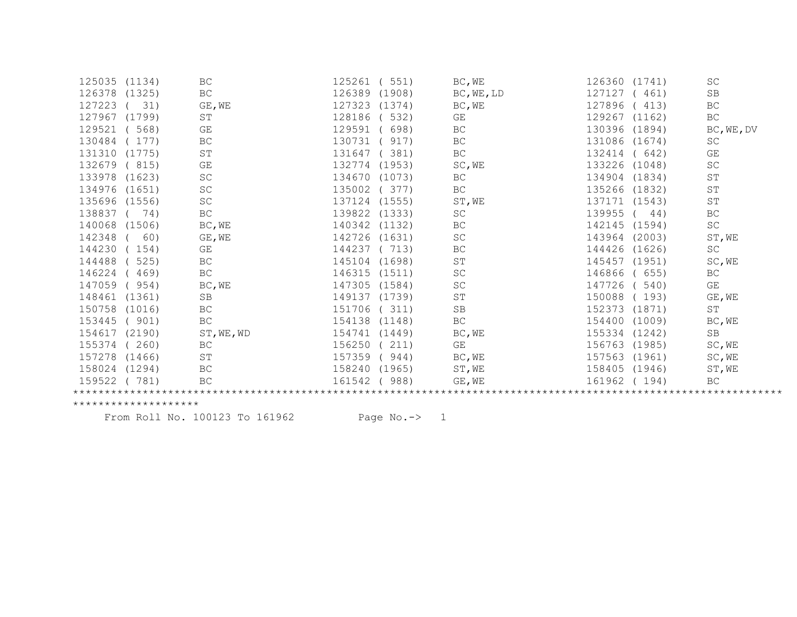| 125035 | (1134) | BC                  | 125261<br>551)   | BC, WE              | 126360 (1741)    | <b>SC</b>               |  |  |  |
|--------|--------|---------------------|------------------|---------------------|------------------|-------------------------|--|--|--|
| 126378 | (1325) | $\operatorname{BC}$ | 126389<br>(1908) | BC, WE, LD          | 127127<br>(461)  | $\rm SB$                |  |  |  |
| 127223 | 31)    | GE, WE              | 127323<br>(1374) | BC, WE              | 127896<br>(413)  | $\operatorname{BC}$     |  |  |  |
| 127967 | (1799) | ST                  | 128186<br>532)   | GE                  | 129267 (1162)    | BC                      |  |  |  |
| 129521 | 568)   | GE                  | 129591<br>698)   | BC                  | 130396 (1894)    | BC, WE, DV              |  |  |  |
| 130484 | 177)   | $\operatorname{BC}$ | 130731<br>917)   | BC                  | 131086 (1674)    | SC                      |  |  |  |
| 131310 | (1775) | ST                  | 131647<br>381)   | $\operatorname{BC}$ | 132414<br>(642)  | GE                      |  |  |  |
| 132679 | (815)  | GE                  | 132774<br>(1953) | SC, WE              | 133226 (1048)    | SC                      |  |  |  |
| 133978 | (1623) | SC                  | 134670<br>(1073) | BC                  | 134904 (1834)    | $\operatorname{ST}$     |  |  |  |
| 134976 | (1651) | SC                  | 135002<br>377)   | BC                  | 135266 (1832)    | ST                      |  |  |  |
| 135696 | (1556) | SC                  | 137124<br>(1555) | ST, WE              | 137171 (1543)    | $\operatorname{ST}$     |  |  |  |
| 138837 | 74)    | BC                  | 139822<br>(1333) | SC                  | 139955<br>44)    | BC                      |  |  |  |
| 140068 | (1506) | BC, WE              | 140342<br>(1132) | BC                  | 142145<br>(1594) | $\operatorname{SC}$     |  |  |  |
| 142348 | 60)    | GE, WE              | 142726<br>(1631) | SC                  | 143964 (2003)    | ST, WE                  |  |  |  |
| 144230 | 154)   | GE                  | 144237<br>713)   | BC                  | 144426<br>(1626) | SC                      |  |  |  |
| 144488 | 525)   | $\operatorname{BC}$ | 145104<br>(1698) | ${\tt ST}$          | 145457<br>(1951) | SC, WE                  |  |  |  |
| 146224 | 469)   | BC                  | 146315<br>(1511) | $\operatorname{SC}$ | 146866<br>(655)  | BC                      |  |  |  |
| 147059 | 954)   | BC, WE              | 147305<br>(1584) | SC                  | 147726<br>540)   | $\mathbb{G}\mathcal{E}$ |  |  |  |
| 148461 | (1361) | SB                  | 149137<br>(1739) | ST                  | 150088<br>(193)  | GE, WE                  |  |  |  |
| 150758 | (1016) | $\operatorname{BC}$ | 151706<br>311)   | $\mbox{SB}$         | 152373<br>(1871) | ST                      |  |  |  |
| 153445 | (901)  | $\operatorname{BC}$ | 154138<br>(1148) | BC                  | 154400<br>(1009) | BC, WE                  |  |  |  |
| 154617 | (2190) | ST, WE, WD          | 154741<br>(1449) | BC, WE              | 155334 (1242)    | <b>SB</b>               |  |  |  |
| 155374 | 260)   | BC                  | 156250<br>211)   | GE                  | 156763 (1985)    | SC, WE                  |  |  |  |
| 157278 | (1466) | $\operatorname{ST}$ | 157359<br>944)   | BC, WE              | 157563 (1961)    | SC, WE                  |  |  |  |
| 158024 | (1294) | $\operatorname{BC}$ | 158240<br>(1965) | ST, WE              | 158405 (1946)    | ST, WE                  |  |  |  |
| 159522 | 781)   | BC                  | 161542<br>988)   | GE, WE              | 161962<br>(194)  | BC                      |  |  |  |
|        |        |                     |                  |                     |                  |                         |  |  |  |

From Roll No. 100123 To 161962 Page No.-> 1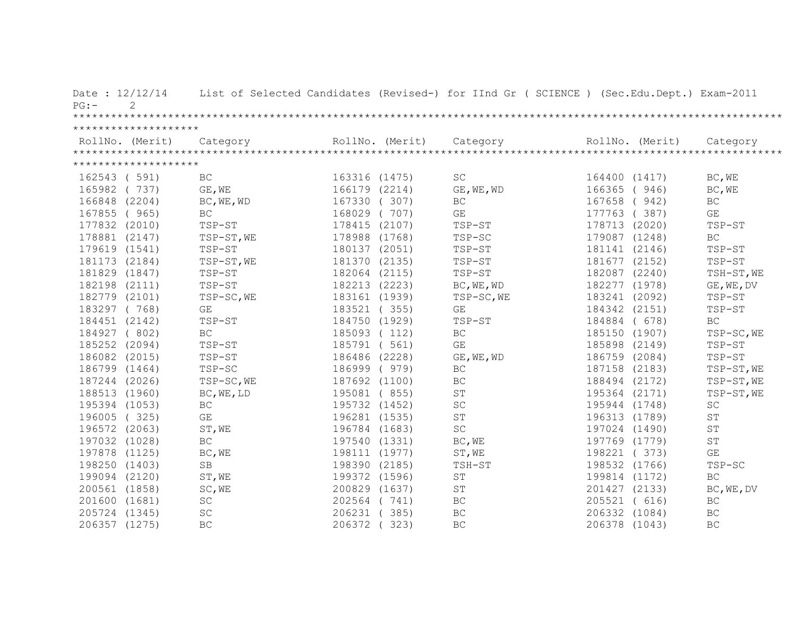| Date: 12/12/14<br>2<br>$PG:$ - |                         |               |                 | List of Selected Candidates (Revised-) for IInd Gr ( SCIENCE ) (Sec.Edu.Dept.) Exam-2011 |                 |                      |
|--------------------------------|-------------------------|---------------|-----------------|------------------------------------------------------------------------------------------|-----------------|----------------------|
|                                |                         |               |                 |                                                                                          |                 |                      |
| ********************           |                         |               |                 |                                                                                          |                 |                      |
|                                |                         |               | RollNo. (Merit) |                                                                                          | RollNo. (Merit) |                      |
|                                |                         |               |                 |                                                                                          |                 |                      |
| ********************           |                         |               |                 |                                                                                          |                 |                      |
| 162543 (591)                   | BC                      | 163316 (1475) |                 | $\operatorname{SC}$                                                                      | 164400 (1417)   | BC, WE               |
| 165982 (737)                   | GE, WE                  | 166179 (2214) |                 | GE, WE, WD                                                                               | 166365 (946)    | BC, WE               |
| 166848 (2204)                  | BC, WE, WD              | 167330 (307)  |                 | BC                                                                                       | 167658 (942)    | $\operatorname{BC}$  |
| 167855 (965)                   | BC                      | 168029 (707)  |                 | GE                                                                                       | 177763 (387)    | GE                   |
| 177832 (2010)                  | TSP-ST                  | 178415 (2107) |                 | TSP-ST                                                                                   | 178713 (2020)   | TSP-ST               |
| 178881 (2147)                  | TSP-ST, WE              | 178988 (1768) |                 | TSP-SC                                                                                   | 179087 (1248)   | $\operatorname{BC}$  |
| 179619 (1541)                  | TSP-ST                  | 180137 (2051) |                 | TSP-ST                                                                                   | 181141 (2146)   | TSP-ST               |
| 181173 (2184)                  | TSP-ST, WE              |               | 181370 (2135)   | TSP-ST                                                                                   | 181677 (2152)   | TSP-ST               |
| 181829 (1847)                  | TSP-ST                  |               | 182064 (2115)   | TSP-ST                                                                                   | 182087 (2240)   | TSH-ST, WE           |
| 182198 (2111)                  | TSP-ST                  | 182213 (2223) |                 | BC, WE, WD                                                                               | 182277 (1978)   | $GE$ , WE, DV        |
| 182779 (2101)                  | TSP-SC, WE              | 183161 (1939) |                 | TSP-SC, WE                                                                               | 183241 (2092)   | TSP-ST               |
| 183297 (768)                   | GE                      | 183521 (355)  |                 | GE                                                                                       | 184342 (2151)   | TSP-ST               |
| 184451 (2142)                  | TSP-ST                  | 184750 (1929) |                 | TSP-ST                                                                                   | 184884 ( 678)   | <b>BC</b>            |
| 184927 (802)                   | BC                      | 185093 (112)  |                 | BC                                                                                       | 185150 (1907)   | TSP-SC, WE           |
| 185252 (2094)                  | TSP-ST                  | 185791 (561)  |                 | GE                                                                                       | 185898 (2149)   | TSP-ST               |
| 186082 (2015)                  | TSP-ST                  | 186486 (2228) |                 | GE, WE, WD                                                                               | 186759 (2084)   | TSP-ST               |
| 186799 (1464)                  | TSP-SC                  | 186999 (979)  |                 | BC                                                                                       | 187158 (2183)   | TSP-ST, WE           |
| 187244 (2026)                  | TSP-SC, WE              | 187692 (1100) |                 | BC                                                                                       | 188494 (2172)   | TSP-ST, WE           |
| 188513 (1960)                  | BC, WE, LD              | 195081 (855)  |                 | $\operatorname{ST}$                                                                      | 195364 (2171)   | TSP-ST, WE           |
| 195394 (1053)                  | BC                      | 195732 (1452) |                 | $\operatorname{SC}$                                                                      | 195944 (1748)   | $\operatorname{SC}$  |
| 196005 (325)                   | $\mathbb{G}\mathcal{E}$ | 196281 (1535) |                 | $\operatorname{ST}$                                                                      | 196313 (1789)   | $\mbox{ST}$          |
| 196572 (2063)                  | ST, WE                  | 196784 (1683) |                 | $\operatorname{SC}$                                                                      | 197024 (1490)   | $\mbox{S}\,\mbox{T}$ |
| 197032 (1028)                  | BC                      | 197540 (1331) |                 | BC, WE                                                                                   | 197769 (1779)   | ST                   |
| 197878 (1125)                  | BC, WE                  | 198111 (1977) |                 | ST, WE                                                                                   | 198221 (373)    | GE                   |
| 198250 (1403)                  | SB                      | 198390 (2185) |                 | TSH-ST                                                                                   | 198532 (1766)   | TSP-SC               |
| 199094 (2120)                  | ST, WE                  | 199372 (1596) |                 | $\mbox{S}\,\mbox{T}$                                                                     | 199814 (1172)   | <b>BC</b>            |
| 200561 (1858)                  | SC, WE                  | 200829 (1637) |                 | $\operatorname{ST}$                                                                      | 201427 (2133)   | BC, WE, DV           |
| 201600 (1681)                  | $\operatorname{SC}$     | 202564 (741)  |                 | $\operatorname{BC}$                                                                      | 205521 ( 616)   | $\operatorname{BC}$  |
| 205724 (1345)                  | $\operatorname{SC}$     | 206231 (385)  |                 | BC                                                                                       | 206332 (1084)   | $\operatorname{BC}$  |
| 206357 (1275)                  | <b>BC</b>               | 206372 (323)  |                 | $\operatorname{BC}$                                                                      | 206378 (1043)   | BC                   |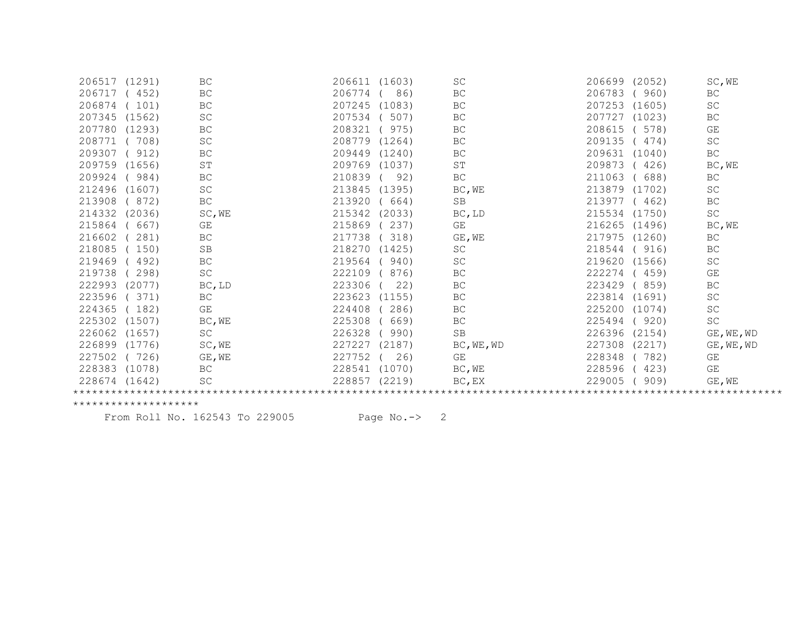| 206517 (1291)    | BC                                                                                                           | (1603)<br>206611 | SC          | (2052)<br>206699 | SC, WE              |  |  |  |  |
|------------------|--------------------------------------------------------------------------------------------------------------|------------------|-------------|------------------|---------------------|--|--|--|--|
| 452)             | <b>BC</b>                                                                                                    | 206774<br>86)    | BC          | 206783<br>(960)  | BC.                 |  |  |  |  |
| 101)             | $\operatorname{BC}$                                                                                          | 207245<br>(1083) | BC          | 207253<br>(1605) | SC                  |  |  |  |  |
| (1562)           | SC                                                                                                           | 207534<br>507)   | BC          | (1023)<br>207727 | BC                  |  |  |  |  |
|                  | BC                                                                                                           | 208321<br>975)   | BC          | 208615<br>578)   | GE                  |  |  |  |  |
| 708)             | SC                                                                                                           | 208779<br>(1264) | BC          | 209135<br>(474)  | SC                  |  |  |  |  |
| (912)            | <b>BC</b>                                                                                                    | 209449<br>(1240) | BC          | 209631<br>(1040) | <b>BC</b>           |  |  |  |  |
| (1656)           | ST                                                                                                           | 209769<br>(1037) | ST          | 209873<br>(426)  | BC, WE              |  |  |  |  |
| 984)             | $\operatorname{BC}$                                                                                          | 210839<br>92)    | BC          | 211063<br>688)   | BC                  |  |  |  |  |
|                  | SC                                                                                                           | 213845<br>(1395) | BC, WE      | 213879<br>(1702) | SC                  |  |  |  |  |
| (872)            | $\operatorname{BC}$                                                                                          | 213920<br>664)   | SB          | 213977<br>(462)  | <b>BC</b>           |  |  |  |  |
|                  | SC, WE                                                                                                       | 215342<br>(2033) | BC, LD      | 215534 (1750)    | SC                  |  |  |  |  |
| 667)             | GE                                                                                                           | 215869<br>237)   | GE          | 216265<br>(1496) | BC, WE              |  |  |  |  |
| 281)             | BC                                                                                                           | 217738<br>318)   | GE, WE      | 217975 (1260)    | BC                  |  |  |  |  |
| 150)             | <b>SB</b>                                                                                                    | 218270<br>(1425) | SC          | 218544<br>(916)  | $\operatorname{BC}$ |  |  |  |  |
| 492)             | $\operatorname{BC}$                                                                                          | 219564<br>940)   | SC          | 219620 (1566)    | $\operatorname{SC}$ |  |  |  |  |
| 298)             | SC                                                                                                           | 222109<br>876)   | BC          | 222274<br>(459)  | GE                  |  |  |  |  |
|                  | BC, LD                                                                                                       | 223306<br>22)    | BC          | 223429<br>(859)  | $\operatorname{BC}$ |  |  |  |  |
| 371)             | BC                                                                                                           | 223623<br>(1155) | BC          | 223814<br>(1691) | SC                  |  |  |  |  |
| (182             | GE                                                                                                           | 224408<br>286)   | BC          | 225200<br>(1074) | SC                  |  |  |  |  |
| (1507)           | BC, WE                                                                                                       | 225308<br>669)   | BC          | 225494<br>(920)  | $\operatorname{SC}$ |  |  |  |  |
| (1657)           | SC                                                                                                           | 226328<br>990)   | SB          | 226396<br>(2154) | $GE$ , WE, WD       |  |  |  |  |
|                  | SC, WE                                                                                                       | 227227<br>(2187) | BC, WE, WD  | 227308<br>(2217) | GE, WE, WD          |  |  |  |  |
| (726)            | GE, WE                                                                                                       | 227752<br>26)    | GE          | 228348<br>(782)  | GE                  |  |  |  |  |
|                  | $\operatorname{BC}$                                                                                          | (1070)<br>228541 | BC, WE      | 228596<br>(423)  | GE                  |  |  |  |  |
|                  | SC                                                                                                           | 228857<br>(2219) | $BC$ , $EX$ | 229005<br>909)   | GE, WE              |  |  |  |  |
|                  |                                                                                                              |                  |             |                  |                     |  |  |  |  |
| 207345<br>207780 | (1293)<br>212496 (1607)<br>214332 (2036)<br>222993 (2077)<br>226899 (1776)<br>228383 (1078)<br>228674 (1642) |                  |             |                  |                     |  |  |  |  |

From Roll No. 162543 To 229005 Page No.-> 2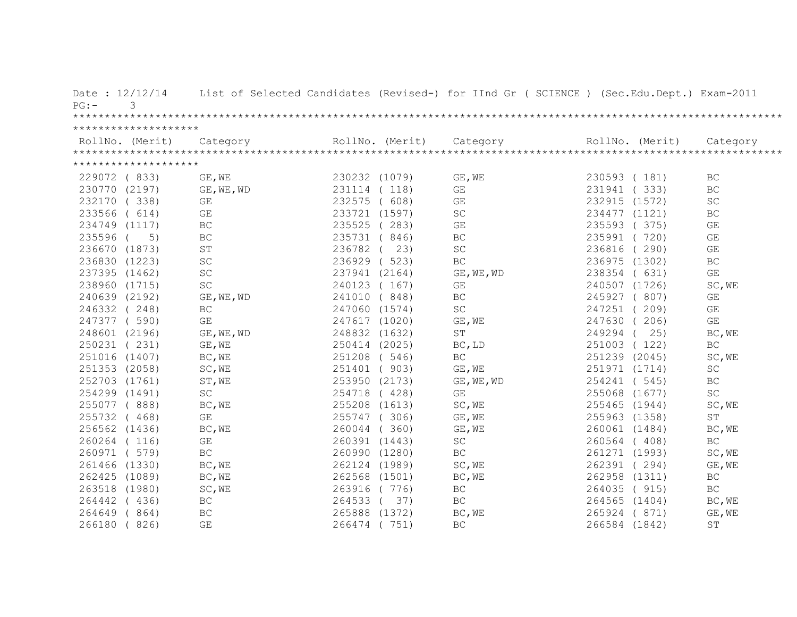| Date: 12/12/14<br>3<br>$PG: -$ |                      |                 |     | List of Selected Candidates (Revised-) for IInd Gr ( SCIENCE ) (Sec.Edu.Dept.) Exam-2011 |                 |                         |
|--------------------------------|----------------------|-----------------|-----|------------------------------------------------------------------------------------------|-----------------|-------------------------|
|                                |                      |                 |     |                                                                                          |                 |                         |
| ********************           |                      |                 |     |                                                                                          |                 |                         |
|                                |                      | RollNo. (Merit) |     |                                                                                          | RollNo. (Merit) |                         |
|                                |                      |                 |     |                                                                                          |                 |                         |
| ********************           |                      |                 |     |                                                                                          |                 |                         |
| 229072 (833)                   | GE, WE               | 230232 (1079)   |     | GE, WE                                                                                   | 230593 (181)    | BC                      |
| 230770 (2197)                  | GE, WE, WD           | 231114 (118)    |     | $\mathbb{G}\mathcal{E}$                                                                  | 231941 (333)    | BC                      |
| (338)<br>232170                | GE                   | 232575 ( 608)   |     | $\mathbb{G}\mathcal{E}$                                                                  | 232915 (1572)   | $\operatorname{SC}$     |
| 233566 ( 614)                  | GE                   | 233721 (1597)   |     | SC                                                                                       | 234477 (1121)   | BC                      |
| 234749 (1117)                  | $\operatorname{BC}$  | 235525 (283)    |     | $\mathbb{G}\mathcal{E}$                                                                  | 235593 (375)    | $\mathbb{G}\mathcal{E}$ |
| 235596 (<br>5)                 | $\operatorname{BC}$  | 235731 (846)    |     | $\operatorname{BC}$                                                                      | 235991 (720)    | GE                      |
| 236670 (1873)                  | $\mbox{S}\,\mbox{T}$ | 236782 (        | 23) | $\operatorname{SC}$                                                                      | 236816 (290)    | $\mathbb{G}\mathcal{E}$ |
| 236830 (1223)                  | $\operatorname{SC}$  | 236929 (523)    |     | $\operatorname{BC}$                                                                      | 236975 (1302)   | $\operatorname{BC}$     |
| 237395 (1462)                  | SC                   | 237941 (2164)   |     | GE, WE, WD                                                                               | 238354 ( 631)   | $\mathbb{G}\mathcal{E}$ |
| 238960 (1715)                  | $\operatorname{SC}$  | 240123 (167)    |     | GE                                                                                       | 240507 (1726)   | SC, WE                  |
| 240639 (2192)                  | GE, WE, WD           | 241010 (848)    |     | $\operatorname{BC}$                                                                      | 245927 (807)    | GE                      |
| 246332 (248)                   | BC                   | 247060 (1574)   |     | SC                                                                                       | 247251 (209)    | GE                      |
| 247377 (590)                   | GE                   | 247617 (1020)   |     | GE, WE                                                                                   | 247630 (206)    | GE                      |
| 248601 (2196)                  | GE, WE, WD           | 248832 (1632)   |     | $\operatorname{ST}$                                                                      | 249294 ( 25)    | BC, WE                  |
| 250231 (231)                   | GE, WE               | 250414 (2025)   |     | BC, LD                                                                                   | 251003 (122)    | BC                      |
| 251016 (1407)                  | BC, WE               | 251208 (546)    |     | $\operatorname{BC}$                                                                      | 251239 (2045)   | SC, WE                  |
| 251353 (2058)                  | SC, WE               | 251401 (903)    |     | GE, WE                                                                                   | 251971 (1714)   | $\operatorname{SC}$     |
| 252703 (1761)                  | ST, WE               | 253950 (2173)   |     | GE, WE, WD                                                                               | 254241 (545)    | BC.                     |
| 254299 (1491)                  | $\operatorname{SC}$  | 254718 (428)    |     | GE                                                                                       | 255068 (1677)   | $\operatorname{SC}$     |
| 255077 (888)                   | BC, WE               | 255208 (1613)   |     | SC, WE                                                                                   | 255465 (1944)   | SC, WE                  |
| 255732 (468)                   | GE                   | 255747 (306)    |     | GE, WE                                                                                   | 255963 (1358)   | ST                      |
| 256562 (1436)                  | BC, WE               | 260044 (360)    |     | GE, WE                                                                                   | 260061 (1484)   | BC, WE                  |
| 260264 (116)                   | GE                   | 260391 (1443)   |     | $\operatorname{SC}$                                                                      | 260564 (408)    | $\operatorname{BC}$     |
| 260971 (579)                   | <b>BC</b>            | 260990 (1280)   |     | $\operatorname{BC}$                                                                      | 261271 (1993)   | SC, WE                  |
| 261466 (1330)                  | BC, WE               | 262124 (1989)   |     | SC, WE                                                                                   | 262391 (294)    | GE, WE                  |
| 262425 (1089)                  | BC, WE               | 262568 (1501)   |     | BC, WE                                                                                   | 262958 (1311)   | <b>BC</b>               |
| 263518 (1980)                  | SC, WE               | 263916 (776)    |     | $\operatorname{BC}$                                                                      | 264035 (915)    | BC                      |
| 264442 (436)                   | $\operatorname{BC}$  | 264533 (37)     |     | $\operatorname{BC}$                                                                      | 264565 (1404)   | BC, WE                  |
| 264649 (864)                   | $\operatorname{BC}$  | 265888 (1372)   |     | BC, WE                                                                                   | 265924 (871)    | GE, WE                  |
| 266180 (826)                   | GE                   | 266474 ( 751)   |     | BC                                                                                       | 266584 (1842)   | ST                      |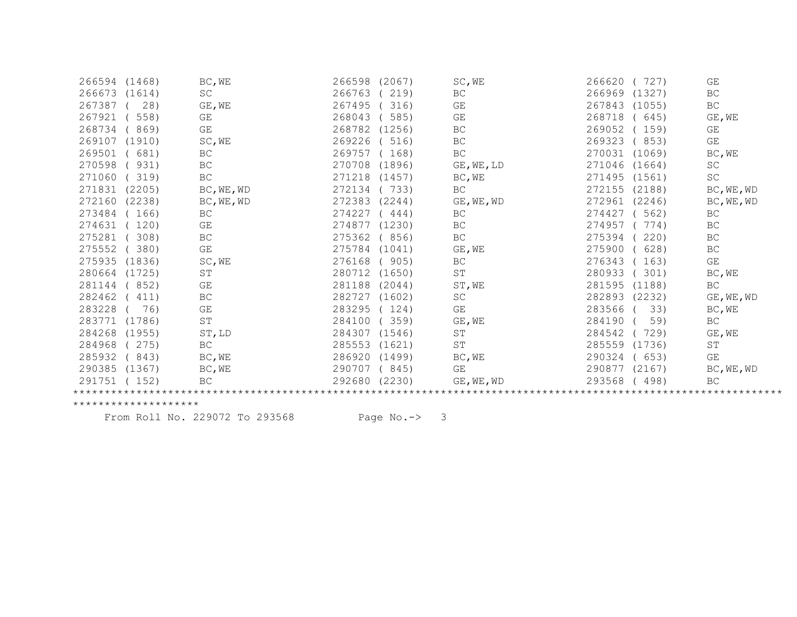| 266594 (1468)    | BC, WE              | 266598<br>(2067) | SC, WE     | 266620<br>727)   | GE                  |
|------------------|---------------------|------------------|------------|------------------|---------------------|
| 266673<br>(1614) | <b>SC</b>           | 266763<br>219)   | <b>BC</b>  | 266969<br>(1327) | <b>BC</b>           |
| 267387<br>28)    | GE, WE              | 267495<br>316)   | GE         | 267843<br>(1055) | $\operatorname{BC}$ |
| 267921<br>558)   | GE                  | 268043<br>585)   | GE         | 268718<br>(645)  | GE, WE              |
| 268734<br>869)   | <b>GE</b>           | 268782<br>(1256) | BC         | 269052<br>(159)  | GE                  |
| 269107<br>(1910) | SC, WE              | 269226<br>516)   | BC         | 269323<br>(853)  | GE                  |
| 269501<br>(681)  | $\operatorname{BC}$ | 269757<br>168)   | BC         | 270031 (1069)    | BC, WE              |
| 270598<br>931)   | BC                  | 270708<br>(1896) | GE, WE, LD | 271046<br>(1664) | <b>SC</b>           |
| 271060<br>319)   | BC                  | 271218<br>(1457) | BC, WE     | 271495 (1561)    | SC                  |
| 271831<br>(2205) | BC, WE, WD          | 272134<br>733)   | <b>BC</b>  | 272155 (2188)    | BC, WE, WD          |
| 272160<br>(2238) | BC, WE, WD          | 272383<br>(2244) | GE, WE, WD | 272961<br>(2246) | BC, WE, WD          |
| 273484<br>166)   | BC                  | 274227<br>444)   | BC         | 562)<br>274427   | BC                  |
| 274631<br>120)   | GE                  | 274877<br>(1230) | BC         | 274957<br>774)   | $\operatorname{BC}$ |
| 275281<br>308)   | $\operatorname{BC}$ | 275362<br>856)   | BC         | 275394<br>220)   | BC                  |
| 275552<br>380)   | GE                  | 275784<br>(1041) | GE, WE     | 275900<br>628)   | BC                  |
| 275935<br>(1836) | SC, WE              | 276168<br>905)   | BC         | 276343<br>163)   | GE                  |
| 280664<br>(1725) | ST                  | 280712<br>(1650) | ST         | 280933<br>301)   | BC, WE              |
| 281144<br>852)   | GE                  | 281188<br>(2044) | ST, WE     | 281595<br>(1188) | <b>BC</b>           |
| 282462<br>411)   | $\operatorname{BC}$ | 282727<br>(1602) | SC         | 282893 (2232)    | $GE$ , $WE$ , $WD$  |
| 283228<br>76)    | GE                  | 283295<br>124)   | GE         | 283566<br>33)    | BC, WE              |
| 283771<br>(1786) | $\operatorname{ST}$ | 284100<br>359)   | GE, WE     | 284190<br>59)    | BC                  |
| 284268<br>(1955) | ST, LD              | 284307<br>(1546) | ST         | 284542<br>729)   | GE, WE              |
| 284968<br>275)   | BC                  | 285553<br>(1621) | ST         | 285559<br>(1736) | ST                  |
| 285932<br>843)   | BC, WE              | 286920<br>(1499) | BC, WE     | 290324<br>(653)  | GE                  |
| 290385<br>(1367) | BC, WE              | 290707<br>(845)  | GE         | 290877<br>(2167) | BC, WE, WD          |
| 291751<br>(152)  | <b>BC</b>           | 292680 (2230)    | GE, WE, WD | 293568<br>(498)  | $\operatorname{BC}$ |
|                  |                     |                  |            |                  |                     |

From Roll No. 229072 To 293568 Page No.-> 3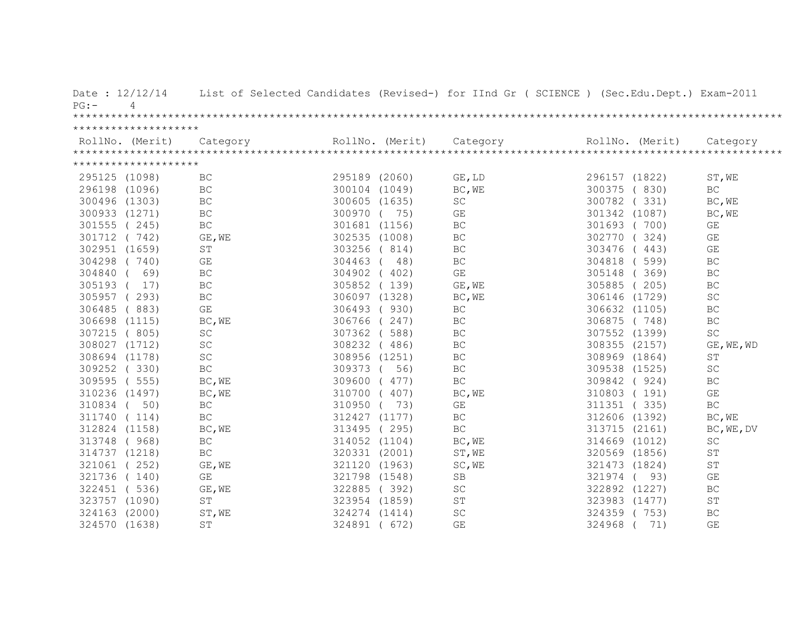| Date: 12/12/14<br>$\overline{4}$<br>$PG:$ – |                         |               |                 | List of Selected Candidates (Revised-) for IInd Gr ( SCIENCE ) (Sec.Edu.Dept.) Exam-2011 |                 |                         |
|---------------------------------------------|-------------------------|---------------|-----------------|------------------------------------------------------------------------------------------|-----------------|-------------------------|
|                                             |                         |               |                 |                                                                                          |                 |                         |
| ********************                        |                         |               |                 |                                                                                          |                 |                         |
| RollNo. (Merit)                             | Category                |               | RollNo. (Merit) | Category                                                                                 | RollNo. (Merit) | Category                |
|                                             |                         |               |                 |                                                                                          |                 |                         |
| ********************                        |                         |               |                 |                                                                                          |                 |                         |
| 295125 (1098)                               | BC                      | 295189 (2060) |                 | GE, LD                                                                                   | 296157 (1822)   | ST, WE                  |
| 296198 (1096)                               | BC                      | 300104 (1049) |                 | BC, WE                                                                                   | 300375 (830)    | BC                      |
| 300496 (1303)                               | BC                      | 300605 (1635) |                 | $\operatorname{SC}$                                                                      | 300782<br>(331) | BC, WE                  |
| 300933 (1271)                               | <b>BC</b>               | 300970 ( 75)  |                 | GE                                                                                       | 301342 (1087)   | BC, WE                  |
| 301555 (245)                                | $\operatorname{BC}$     | 301681 (1156) |                 | BC                                                                                       | 301693 (700)    | GE                      |
| 301712 (742)                                | GE, WE                  |               | 302535 (1008)   | BC                                                                                       | 302770<br>(324) | GE                      |
| 302951 (1659)                               | ST                      | 303256 (814)  |                 | BC                                                                                       | 303476 (443)    | GE                      |
| 304298 (740)                                | GE                      | 304463        | 48)             | BC                                                                                       | 304818 ( 599)   | BC                      |
| 304840 (<br>69)                             | $\operatorname{BC}$     |               | 304902 (402)    | $\mathbb{G}\mathcal{E}$                                                                  | 305148 (369)    | $\operatorname{BC}$     |
| 305193 (<br>17)                             | $\operatorname{BC}$     |               | 305852 (139)    | GE, WE                                                                                   | 305885 (205)    | $\operatorname{BC}$     |
| 305957 (293)                                | $\operatorname{BC}$     |               | 306097 (1328)   | BC, WE                                                                                   | 306146 (1729)   | $\operatorname{SC}$     |
| 306485 (883)                                | GE                      |               | 306493 (930)    | BC                                                                                       | 306632 (1105)   | BC                      |
| 306698 (1115)                               | BC, WE                  |               | 306766 (247)    | BC                                                                                       | 306875 (748)    | BC                      |
| 307215 (805)                                | $\operatorname{SC}$     |               | 307362 ( 588)   | BC                                                                                       | 307552 (1399)   | $\operatorname{SC}$     |
| 308027 (1712)                               | SC                      |               | 308232 (486)    | BC                                                                                       | 308355 (2157)   | GE, WE, WD              |
| 308694 (1178)                               | $\operatorname{SC}$     | 308956 (1251) |                 | BC                                                                                       | 308969 (1864)   | ST                      |
| 309252 (330)                                | $\operatorname{BC}$     | 309373 (      | 56)             | BC                                                                                       | 309538 (1525)   | SC                      |
| 309595 (555)                                | BC, WE                  | 309600 (477)  |                 | $\operatorname{BC}$                                                                      | 309842 (924)    | $\operatorname{BC}$     |
| 310236 (1497)                               | BC, WE                  | 310700 (407)  |                 | BC, WE                                                                                   | 310803 (191)    | GE                      |
| 310834 (<br>50)                             | BC                      | 310950        | 73)             | GE                                                                                       | 311351 (335)    | BC                      |
| 311740 (114)                                | $\operatorname{BC}$     |               | 312427 (1177)   | $\operatorname{BC}$                                                                      | 312606 (1392)   | BC, WE                  |
| 312824 (1158)                               | BC, WE                  |               | 313495 (295)    | BC                                                                                       | 313715 (2161)   | BC, WE, DV              |
| 313748 ( 968)                               | BC                      | 314052 (1104) |                 | BC, WE                                                                                   | 314669 (1012)   | $\operatorname{SC}$     |
| 314737 (1218)                               | $\operatorname{BC}$     | 320331 (2001) |                 | ST, WE                                                                                   | 320569 (1856)   | ST                      |
| 321061 (252)                                | GE, WE                  | 321120 (1963) |                 | SC, WE                                                                                   | 321473 (1824)   | ST                      |
| 321736 (140)                                | $\mathbb{G}\mathcal{E}$ |               | 321798 (1548)   | SB                                                                                       | 321974<br>93)   | $\mathbb{G}\mathcal{E}$ |
| 322451 (536)                                | GE, WE                  |               | 322885 (392)    | $\operatorname{SC}$                                                                      | 322892 (1227)   | $\operatorname{BC}$     |
| 323757 (1090)                               | <b>ST</b>               | 323954 (1859) |                 | $\operatorname{ST}$                                                                      | 323983 (1477)   | $\operatorname{ST}$     |
| 324163 (2000)                               | ST, WE                  | 324274 (1414) |                 | $\operatorname{SC}$                                                                      | 324359 (753)    | $\operatorname{BC}$     |
| 324570 (1638)                               | ST                      | 324891 ( 672) |                 | $\mathbb{G}\mathcal{E}$                                                                  | 324968<br>71)   | GE                      |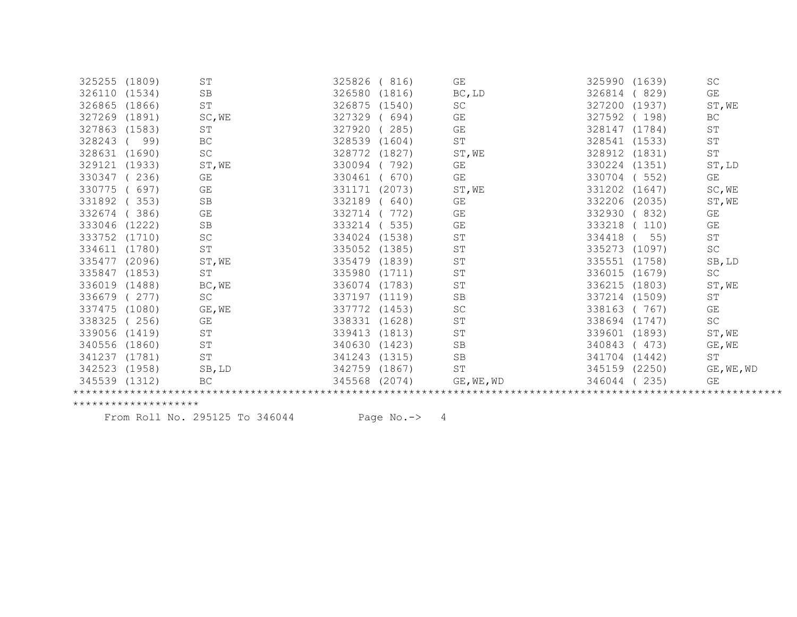| 325255 (1809) |        | ST                  | 325826<br>(816)  | $\mathbb{G}\mathcal{E}$ | 325990 (1639)    | <b>SC</b>  |
|---------------|--------|---------------------|------------------|-------------------------|------------------|------------|
| 326110        | (1534) | <b>SB</b>           | 326580<br>(1816) | BC, LD                  | 326814<br>(829)  | GE         |
| 326865        | (1866) | $\operatorname{ST}$ | 326875<br>(1540) | SC                      | 327200 (1937)    | ST, WE     |
| 327269        | (1891) | SC, WE              | 327329<br>694)   | GE                      | 327592<br>(198)  | <b>BC</b>  |
| 327863        | (1583) | ST                  | 327920<br>285)   | GE                      | 328147 (1784)    | ST         |
| 328243        | 99)    | BC                  | 328539<br>(1604) | $\operatorname{ST}$     | 328541 (1533)    | <b>ST</b>  |
| 328631        | (1690) | SC                  | 328772<br>(1827) | ST, WE                  | 328912 (1831)    | <b>ST</b>  |
| 329121        | (1933) | ST, WE              | 330094<br>792)   | GE                      | 330224<br>(1351) | ST, LD     |
| 330347        | 236)   | GE                  | 330461<br>670)   | GE                      | 330704<br>(552)  | GE         |
| 330775        | 697)   | <b>GE</b>           | 331171<br>(2073) | ST, WE                  | 331202<br>(1647) | SC, WE     |
| 331892        | 353)   | SB                  | 332189<br>640)   | GE                      | 332206<br>(2035) | ST, WE     |
| 332674        | 386)   | GE                  | 332714<br>772)   | GE                      | 332930<br>(832)  | GE         |
| 333046        | (1222) | SB                  | 333214<br>535)   | GE                      | 333218<br>110)   | GE         |
| 333752 (1710) |        | SC                  | 334024<br>(1538) | ST                      | 334418<br>55)    | ST         |
| 334611        | (1780) | <b>ST</b>           | 335052<br>(1385) | ST                      | 335273<br>(1097) | SC         |
| 335477        | (2096) | ST, WE              | 335479<br>(1839) | ST                      | 335551 (1758)    | $SB$ , LD  |
| 335847 (1853) |        | $\operatorname{ST}$ | 335980<br>(1711) | ST                      | 336015 (1679)    | SC         |
| 336019 (1488) |        | BC, WE              | 336074<br>(1783) | ST                      | 336215 (1803)    | ST, WE     |
| 336679        | (277)  | SC                  | 337197<br>(1119) | $\operatorname{SB}$     | 337214 (1509)    | ST         |
| 337475        | (1080) | GE, WE              | 337772<br>(1453) | $\operatorname{SC}$     | 338163<br>(767)  | GE         |
| 338325        | (256)  | GE                  | 338331<br>(1628) | ST                      | 338694<br>(1747) | SC         |
| 339056 (1419) |        | ST                  | 339413<br>(1813) | ST                      | 339601<br>(1893) | ST, WE     |
| 340556        | (1860) | <b>ST</b>           | 340630<br>(1423) | SB                      | 340843<br>(473)  | GE, WE     |
| 341237        | (1781) | $\operatorname{ST}$ | 341243<br>(1315) | SB                      | 341704<br>(1442) | <b>ST</b>  |
| 342523        | (1958) | SB, LD              | 342759<br>(1867) | ST                      | 345159 (2250)    | GE, WE, WD |
| 345539 (1312) |        | BC                  | 345568<br>(2074) | GE, WE, WD              | 346044<br>235)   | GE         |
|               |        |                     |                  |                         |                  |            |

From Roll No. 295125 To 346044 Page No.-> 4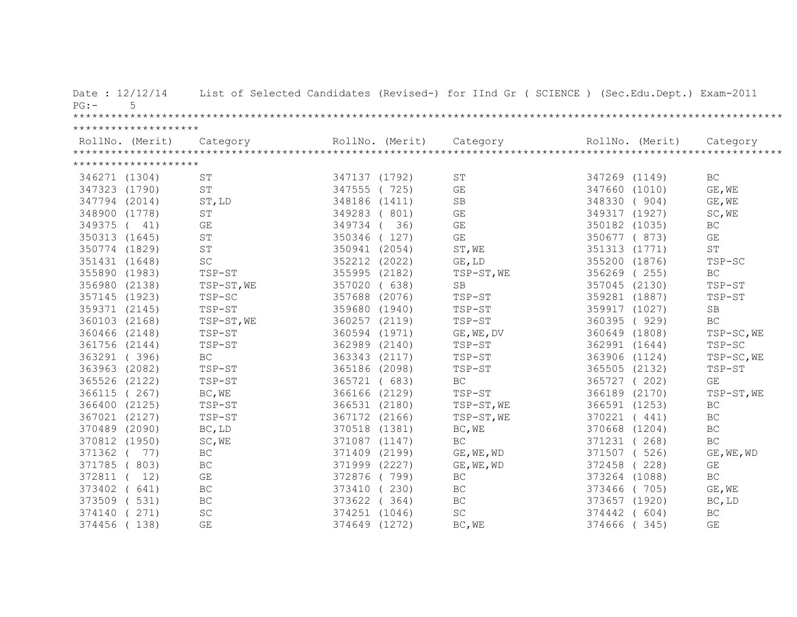| Date: 12/12/14<br>$PG:$ -<br>5 |                     |               |                 | List of Selected Candidates (Revised-) for IInd Gr ( SCIENCE ) (Sec.Edu.Dept.) Exam-2011 |               |                 |                     |
|--------------------------------|---------------------|---------------|-----------------|------------------------------------------------------------------------------------------|---------------|-----------------|---------------------|
|                                |                     |               |                 |                                                                                          |               |                 |                     |
| ********************           |                     |               |                 |                                                                                          |               |                 |                     |
| RollNo. (Merit)                | Category            |               | RollNo. (Merit) | Category                                                                                 |               | RollNo. (Merit) | Category            |
|                                |                     |               |                 |                                                                                          |               |                 |                     |
| ********************           |                     |               |                 |                                                                                          |               |                 |                     |
| 346271 (1304)                  | <b>ST</b>           | 347137 (1792) |                 | ST                                                                                       | 347269 (1149) |                 | BC                  |
| 347323 (1790)                  | ST                  | 347555 (725)  |                 | $\mathbb{G}\mathcal{E}$                                                                  | 347660 (1010) |                 | GE, WE              |
| 347794 (2014)                  | ST, LD              | 348186 (1411) |                 | $\operatorname{SB}$                                                                      | 348330        | (904)           | GE, WE              |
| 348900 (1778)                  | ST                  | 349283 (801)  |                 | $\mathbb{G}\mathcal{E}$                                                                  | 349317 (1927) |                 | SC, WE              |
| 349375 ( 41)                   | GE                  | 349734        | 36)             | $\mathbb{G}\mathcal{E}$                                                                  | 350182 (1035) |                 | BC                  |
| 350313 (1645)                  | ST                  | 350346 (127)  |                 | GE                                                                                       | 350677 (873)  |                 | GE                  |
| 350774 (1829)                  | $\operatorname{ST}$ | 350941 (2054) |                 | ST, WE                                                                                   | 351313 (1771) |                 | $\operatorname{ST}$ |
| 351431 (1648)                  | SC                  | 352212 (2022) |                 | GE, LD                                                                                   | 355200 (1876) |                 | TSP-SC              |
| 355890 (1983)                  | $TSP-ST$            | 355995 (2182) |                 | TSP-ST, WE                                                                               | 356269 (255)  |                 | <b>BC</b>           |
| 356980 (2138)                  | TSP-ST, WE          | 357020 (638)  |                 | SB                                                                                       | 357045 (2130) |                 | TSP-ST              |
| 357145 (1923)                  | TSP-SC              | 357688 (2076) |                 | TSP-ST                                                                                   | 359281 (1887) |                 | TSP-ST              |
| 359371 (2145)                  | TSP-ST              | 359680 (1940) |                 | TSP-ST                                                                                   | 359917 (1027) |                 | <b>SB</b>           |
| 360103 (2168)                  | TSP-ST, WE          | 360257 (2119) |                 | TSP-ST                                                                                   | 360395 (929)  |                 | BC                  |
| 360466 (2148)                  | TSP-ST              | 360594 (1971) |                 | GE, WE, DV                                                                               | 360649 (1808) |                 | TSP-SC, WE          |
| 361756 (2144)                  | TSP-ST              | 362989 (2140) |                 | TSP-ST                                                                                   | 362991 (1644) |                 | TSP-SC              |
| 363291 (396)                   | <b>BC</b>           | 363343 (2117) |                 | TSP-ST                                                                                   | 363906 (1124) |                 | TSP-SC, WE          |
| 363963 (2082)                  | TSP-ST              | 365186 (2098) |                 | TSP-ST                                                                                   | 365505 (2132) |                 | TSP-ST              |
| 365526 (2122)                  | TSP-ST              | 365721 (683)  |                 | $\operatorname{BC}$                                                                      | 365727 (202)  |                 | GE                  |
| 366115 (267)                   | BC, WE              | 366166 (2129) |                 | TSP-ST                                                                                   | 366189 (2170) |                 | TSP-ST, WE          |
| 366400 (2125)                  | TSP-ST              | 366531 (2180) |                 | TSP-ST, WE                                                                               | 366591 (1253) |                 | $\operatorname{BC}$ |
| 367021 (2127)                  | TSP-ST              | 367172 (2166) |                 | TSP-ST, WE                                                                               | 370221 (441)  |                 | $\operatorname{BC}$ |
| 370489 (2090)                  | BC, LD              | 370518 (1381) |                 | BC, WE                                                                                   | 370668 (1204) |                 | $\operatorname{BC}$ |
| 370812 (1950)                  | SC, WE              | 371087 (1147) |                 | $\operatorname{BC}$                                                                      | 371231 (      | 268)            | $\operatorname{BC}$ |
| 371362 ( 77)                   | BC                  | 371409 (2199) |                 | GE, WE, WD                                                                               | 371507 (526)  |                 | GE, WE, WD          |
| 371785 (803)                   | BC                  | 371999 (2227) |                 | GE, WE, WD                                                                               | 372458        | (228)           | GE                  |
| 372811 ( 12)                   | GE                  | 372876 (799)  |                 | BC                                                                                       | 373264 (1088) |                 | BC                  |
| 373402 ( 641)                  | $\operatorname{BC}$ | 373410 (230)  |                 | $\operatorname{BC}$                                                                      | 373466 (705)  |                 | GE, WE              |
| 373509 (531)                   | $\operatorname{BC}$ | 373622 (364)  |                 | $\operatorname{BC}$                                                                      | 373657 (1920) |                 | BC, LD              |
| 374140<br>(271)                | SC                  | 374251 (1046) |                 | $\operatorname{SC}$                                                                      | 374442        | (604)           | <b>BC</b>           |
| 374456<br>(138)                | GE                  | 374649 (1272) |                 | BC, WE                                                                                   | 374666        | (345)           | GE                  |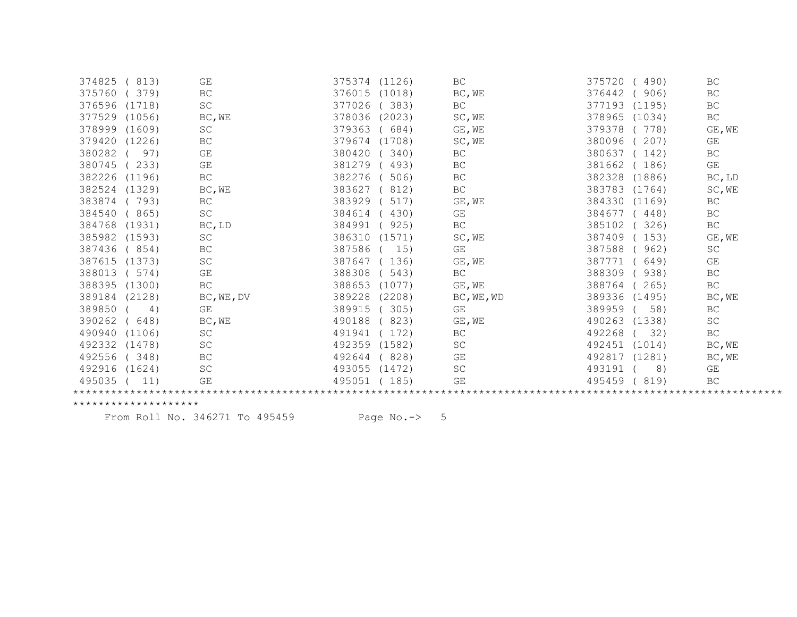| 374825<br>813)       | GE                  | 375374 (1126)    | BC                  | 375720<br>490)   | BC                  |
|----------------------|---------------------|------------------|---------------------|------------------|---------------------|
| 375760<br>379)       | <b>BC</b>           | 376015<br>(1018) | BC, WE              | 376442<br>906)   | <b>BC</b>           |
| 376596<br>(1718)     | $\operatorname{SC}$ | 377026<br>383)   | BC                  | 377193<br>(1195) | <b>BC</b>           |
| 377529<br>(1056)     | BC, WE              | 378036 (2023)    | SC, WE              | 378965<br>(1034) | BC                  |
| 378999<br>(1609)     | $\operatorname{SC}$ | 379363<br>684)   | GE, WE              | 379378<br>778)   | GE, WE              |
| 379420<br>(1226)     | $\operatorname{BC}$ | 379674<br>(1708) | SC, WE              | 380096<br>207)   | GE                  |
| 380282<br>97)        | GE                  | 380420<br>340)   | BC                  | 380637<br>142)   | BC                  |
| 380745<br>233)       | GE                  | 381279<br>493)   | BC                  | 381662<br>186)   | GE                  |
| 382226<br>(1196)     | $\operatorname{BC}$ | 382276<br>506    | BC                  | 382328<br>(1886) | BC, LD              |
| 382524<br>(1329)     | BC, WE              | 383627<br>812)   | $\operatorname{BC}$ | 383783<br>(1764) | SC, WE              |
| 383874<br>(793)      | $\operatorname{BC}$ | 383929<br>517)   | GE, WE              | 384330<br>(1169) | <b>BC</b>           |
| 384540<br>(865)      | SC                  | 384614<br>430)   | GE                  | 384677<br>448)   | <b>BC</b>           |
| 384768<br>(1931)     | BC, LD              | 384991<br>925)   | $\operatorname{BC}$ | 385102<br>326)   | $\operatorname{BC}$ |
| 385982<br>(1593)     | SC                  | 386310<br>(1571) | SC, WE              | 387409<br>153)   | GE, WE              |
| 387436<br>(854)      | <b>BC</b>           | 387586<br>15)    | GE                  | 387588<br>962)   | SC                  |
| 387615<br>(1373)     | SC                  | 387647<br>136)   | GE, WE              | 387771<br>649)   | GE                  |
| 388013<br>(574)      | GE                  | 388308<br>543)   | $\operatorname{BC}$ | 388309<br>938)   | $\operatorname{BC}$ |
| 388395 (1300)        | $\operatorname{BC}$ | 388653<br>(1077) | GE, WE              | 388764<br>265)   | BC                  |
| 389184<br>(2128)     | BC, WE, DV          | 389228<br>(2208) | BC, WE, WD          | 389336 (1495)    | BC, WE              |
| 389850<br>4)         | GE                  | 389915<br>305)   | GE                  | 389959<br>58)    | <b>BC</b>           |
| 390262<br>648)       | BC, WE              | 490188<br>823)   | GE, WE              | 490263<br>(1338) | SC                  |
| 490940<br>(1106)     | $\operatorname{SC}$ | 491941<br>172)   | BC                  | 492268<br>32)    | BC                  |
| 492332<br>(1478)     | SC                  | 492359<br>(1582) | SC                  | 492451<br>(1014) | BC, WE              |
| 492556<br>(348)      | $\operatorname{BC}$ | 828)<br>492644   | GE                  | 492817<br>(1281) | BC, WE              |
| 492916 (1624)        | SC                  | 493055<br>(1472) | <b>SC</b>           | 493191<br>8)     | GE                  |
| 495035 (<br>11)      | GE                  | 495051<br>(185)  | GE                  | 495459<br>(819)  | BC                  |
|                      |                     |                  |                     |                  |                     |
| ******************** |                     |                  |                     |                  |                     |

From Roll No. 346271 To 495459 Page No.-> 5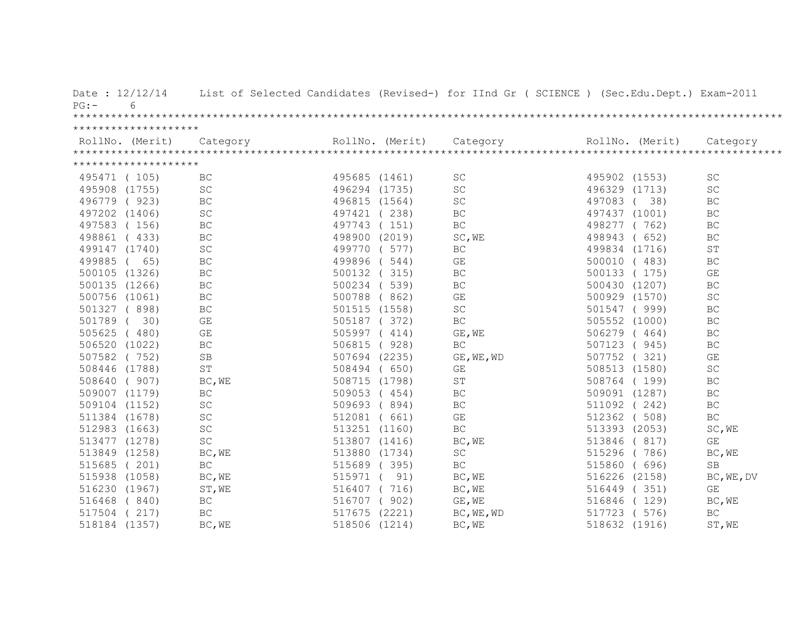| Date: $12/12/14$<br>$6 \overline{6}$<br>$PG:$ - |                     |                 | List of Selected Candidates (Revised-) for IInd Gr ( SCIENCE ) (Sec.Edu.Dept.) Exam-2011 |                 |       |                     |
|-------------------------------------------------|---------------------|-----------------|------------------------------------------------------------------------------------------|-----------------|-------|---------------------|
|                                                 |                     |                 |                                                                                          |                 |       |                     |
| ********************                            |                     |                 |                                                                                          |                 |       |                     |
| RollNo. (Merit)                                 | Category            | RollNo. (Merit) | Category                                                                                 | RollNo. (Merit) |       | Category            |
|                                                 |                     |                 |                                                                                          |                 |       |                     |
| ********************                            |                     |                 |                                                                                          |                 |       |                     |
| 495471 (105)                                    | BC                  | 495685 (1461)   | SC                                                                                       | 495902 (1553)   |       | <b>SC</b>           |
| 495908 (1755)                                   | <b>SC</b>           | 496294 (1735)   | SC                                                                                       | 496329 (1713)   |       | <b>SC</b>           |
| 496779 (923)                                    | $\operatorname{BC}$ | 496815 (1564)   | $\operatorname{SC}$                                                                      | 497083          | (38)  | $\operatorname{BC}$ |
| 497202 (1406)                                   | SC                  | 497421 (238)    | $\operatorname{BC}$                                                                      | 497437 (1001)   |       | $\operatorname{BC}$ |
| 497583 (156)                                    | $\operatorname{BC}$ | 497743 (151)    | $\operatorname{BC}$                                                                      | 498277          | (762) | BC                  |
| 498861 (433)                                    | $\operatorname{BC}$ | 498900 (2019)   | SC, WE                                                                                   | 498943          | (652) | <b>BC</b>           |
| 499147 (1740)                                   | SC                  | 499770 ( 577)   | BC                                                                                       | 499834 (1716)   |       | <b>ST</b>           |
| 499885 ( 65)                                    | $\operatorname{BC}$ | 499896 (544)    | GE                                                                                       | 500010          | (483) | $\operatorname{BC}$ |
| 500105 (1326)                                   | $\operatorname{BC}$ | 500132 (315)    | BC                                                                                       | 500133 (175)    |       | GE                  |
| 500135 (1266)                                   | $\operatorname{BC}$ | 500234 (539)    | BC                                                                                       | 500430 (1207)   |       | $\operatorname{BC}$ |
| 500756 (1061)                                   | BC                  | 500788 (862)    | GE                                                                                       | 500929 (1570)   |       | SC                  |
| 501327 (898)                                    | $\operatorname{BC}$ | 501515 (1558)   | $\operatorname{SC}$                                                                      | 501547 (999)    |       | BC                  |
| 501789 (30)                                     | GE                  | 505187 (372)    | BC                                                                                       | 505552 (1000)   |       | $\operatorname{BC}$ |
| 505625 (480)                                    | GE                  | 505997 (414)    | GE, WE                                                                                   | 506279 (464)    |       | BC                  |
| 506520 (1022)                                   | $\operatorname{BC}$ | 506815 ( 928)   | BC                                                                                       | 507123 (945)    |       | $\operatorname{BC}$ |
| 507582 (752)                                    | <b>SB</b>           | 507694 (2235)   | GE, WE, WD                                                                               | 507752 (321)    |       | GE                  |
| 508446 (1788)                                   | ST                  | 508494 (650)    | GE                                                                                       | 508513 (1580)   |       | SC                  |
| 508640 (907)                                    | BC, WE              | 508715 (1798)   | $\operatorname{ST}$                                                                      | 508764 (199)    |       | <b>BC</b>           |
| 509007 (1179)                                   | $\operatorname{BC}$ | 509053 (454)    | BC                                                                                       | 509091 (1287)   |       | $\operatorname{BC}$ |
| 509104 (1152)                                   | $\operatorname{SC}$ | 509693 (894)    | BC                                                                                       | 511092 (242)    |       | $\operatorname{BC}$ |
| 511384 (1678)                                   | $\operatorname{SC}$ | 512081 ( 661)   | $\mathbb{G}\mathcal{E}$                                                                  | 512362          | (508) | $\operatorname{BC}$ |
| 512983 (1663)                                   | $\operatorname{SC}$ | 513251 (1160)   | $\operatorname{BC}$                                                                      | 513393 (2053)   |       | SC, WE              |
| 513477 (1278)                                   | $\operatorname{SC}$ | 513807 (1416)   | BC, WE                                                                                   | 513846 ( 817)   |       | GE                  |
| 513849 (1258)                                   | BC, WE              | 513880 (1734)   | $\operatorname{SC}$                                                                      | 515296 (786)    |       | BC, WE              |
| 515685 (201)                                    | $\operatorname{BC}$ | 515689 (395)    | $\operatorname{BC}$                                                                      | 515860          | (696) | SB                  |
| 515938 (1058)                                   | BC, WE              | 515971 ( 91)    | BC, WE                                                                                   | 516226 (2158)   |       | BC, WE, DV          |
| 516230 (1967)                                   | ST, WE              | 516407 (716)    | BC, WE                                                                                   | 516449 (351)    |       | GE                  |
| 516468 (840)                                    | $\operatorname{BC}$ | 516707 ( 902)   | GE, WE                                                                                   | 516846 (129)    |       | BC, WE              |
| 517504 (217)                                    | BC                  | 517675 (2221)   | BC, WE, WD                                                                               | 517723 ( 576)   |       | <b>BC</b>           |
| 518184 (1357)                                   | BC, WE              | 518506 (1214)   | BC, WE                                                                                   | 518632 (1916)   |       | ST, WE              |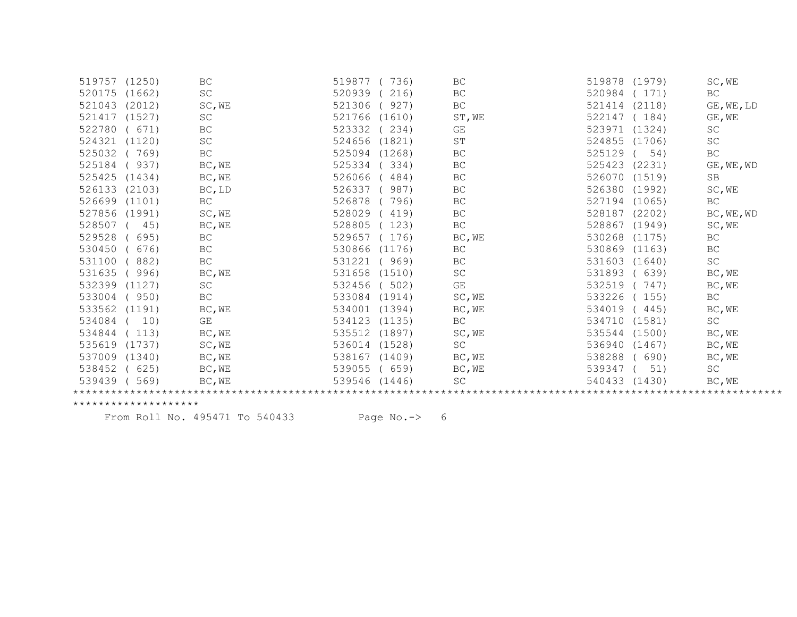| 519757 (1250) |        | BC                  | 519877<br>736)   | BC                  | 519878 (1979)    | SC, WE             |
|---------------|--------|---------------------|------------------|---------------------|------------------|--------------------|
| 520175        | (1662) | SC                  | 520939<br>216)   | BC                  | 520984<br>(171)  | <b>BC</b>          |
| 521043        | (2012) | SC, WE              | 927)<br>521306   | BC                  | 521414<br>(2118) | $GE$ , $WE$ , $LD$ |
| 521417        | (1527) | SC                  | 521766<br>(1610) | ST, WE              | 522147<br>(184)  | GE, WE             |
| 522780        | (671)  | BC                  | 523332<br>234)   | GE                  | 523971<br>(1324) | SC                 |
| 524321        | (1120) | SC                  | 524656<br>(1821) | ST                  | 524855 (1706)    | SC                 |
| 525032        | 769)   | BC                  | 525094<br>(1268) | $\operatorname{BC}$ | 525129<br>54)    | <b>BC</b>          |
| 525184        | 937)   | BC, WE              | 525334<br>334)   | $\operatorname{BC}$ | (2231)<br>525423 | GE, WE, WD         |
| 525425 (1434) |        | BC, WE              | 526066<br>484)   | BC                  | 526070 (1519)    | <b>SB</b>          |
| 526133        | (2103) | BC, LD              | 526337<br>987)   | <b>BC</b>           | 526380 (1992)    | SC, WE             |
| 526699        | (1101) | BC                  | 526878<br>796)   | BC                  | 527194 (1065)    | BC                 |
| 527856        | (1991) | SC, WE              | 528029<br>419)   | $\operatorname{BC}$ | 528187 (2202)    | BC, WE, WD         |
| 528507        | 45)    | BC, WE              | 528805<br>123)   | BC                  | 528867<br>(1949) | SC, WE             |
| 529528        | 695)   | $\operatorname{BC}$ | 529657<br>176)   | BC, WE              | 530268<br>(1175) | BC                 |
| 530450        | 676)   | <b>BC</b>           | 530866<br>(1176) | <b>BC</b>           | 530869<br>(1163) | <b>BC</b>          |
| 531100        | 882)   | $\operatorname{BC}$ | 531221<br>969)   | BC                  | 531603<br>(1640) | SC                 |
| 531635        | 996)   | BC, WE              | 531658<br>(1510) | SC                  | 531893<br>(639)  | BC, WE             |
| 532399        | (1127) | SC                  | 532456<br>502)   | GE                  | 532519<br>747)   | BC, WE             |
| 533004        | 950)   | $\operatorname{BC}$ | 533084<br>(1914) | SC, WE              | 533226<br>155)   | BC                 |
| 533562        | (1191) | BC, WE              | 534001<br>(1394) | BC, WE              | 534019<br>(445)  | BC, WE             |
| 534084        | 10)    | GE                  | 534123<br>(1135) | BC                  | 534710<br>(1581) | SC                 |
| 534844        | 113)   | BC, WE              | 535512<br>(1897) | SC, WE              | 535544<br>(1500) | BC, WE             |
| 535619        | (1737) | SC, WE              | 536014<br>(1528) | SC                  | 536940<br>(1467) | BC, WE             |
| 537009        | (1340) | BC, WE              | 538167<br>(1409) | BC, WE              | 538288<br>690)   | BC, WE             |
| 538452        | 625)   | BC, WE              | 539055<br>659)   | BC, WE              | 539347<br>51)    | SC                 |
| 539439        | 569)   | BC, WE              | 539546<br>(1446) | SC                  | 540433<br>(1430) | BC, WE             |
|               |        |                     |                  |                     |                  |                    |

From Roll No. 495471 To 540433 Page No.-> 6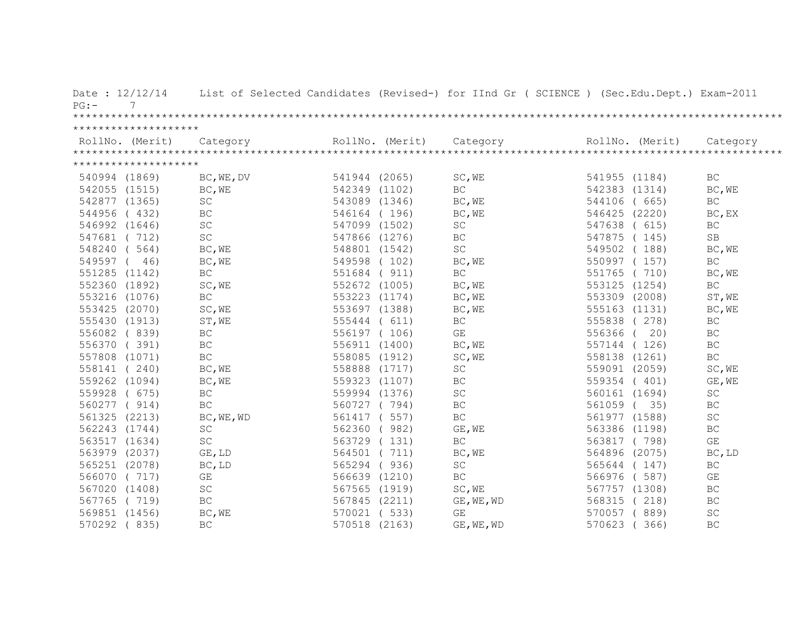| Date: 12/12/14<br>$PG: -$<br>7 |                     |               |               | List of Selected Candidates (Revised-) for IInd Gr ( SCIENCE ) (Sec.Edu.Dept.) Exam-2011                                                                                                                                                                                                                                                                                                                                                                         |                 |                     |
|--------------------------------|---------------------|---------------|---------------|------------------------------------------------------------------------------------------------------------------------------------------------------------------------------------------------------------------------------------------------------------------------------------------------------------------------------------------------------------------------------------------------------------------------------------------------------------------|-----------------|---------------------|
|                                |                     |               |               |                                                                                                                                                                                                                                                                                                                                                                                                                                                                  |                 |                     |
| ********************           |                     |               |               |                                                                                                                                                                                                                                                                                                                                                                                                                                                                  |                 |                     |
|                                |                     |               |               | $\begin{minipage}{.45\textwidth} \begin{minipage}{0.5cm} \begin{minipage}{0.5cm} \begin{minipage}{0.5cm} \begin{minipage}{0.5cm} \begin{minipage}{0.5cm} \begin{minipage}{0.5cm} \begin{minipage}{0.5cm} \begin{minipage}{0.5cm} \begin{minipage}{0.5cm} \begin{minipage}{0.5cm} \begin{minipage}{0.5cm} \begin{minipage}{0.5cm} \begin{minipage}{0.5cm} \begin{minipage}{0.5cm} \begin{minipage}{0.5cm} \begin{minipage}{0.5cm} \begin{minipage}{0.5cm} \begin$ |                 |                     |
|                                |                     |               |               |                                                                                                                                                                                                                                                                                                                                                                                                                                                                  |                 |                     |
| ********************           |                     |               |               |                                                                                                                                                                                                                                                                                                                                                                                                                                                                  |                 |                     |
| 540994 (1869)                  | BC, WE, DV          | 541944 (2065) |               | SC, WE                                                                                                                                                                                                                                                                                                                                                                                                                                                           | 541955 (1184)   | BC                  |
| 542055 (1515)                  | BC, WE              | 542349 (1102) |               | BC.                                                                                                                                                                                                                                                                                                                                                                                                                                                              | 542383 (1314)   | BC, WE              |
| 542877 (1365)                  | $\operatorname{SC}$ | 543089 (1346) |               | BC, WE                                                                                                                                                                                                                                                                                                                                                                                                                                                           | 544106 ( 665)   | $\operatorname{BC}$ |
| 544956 (432)                   | BC                  | 546164 (196)  |               | BC, WE                                                                                                                                                                                                                                                                                                                                                                                                                                                           | 546425 (2220)   | BC, EX              |
| 546992 (1646)                  | $\operatorname{SC}$ | 547099 (1502) |               | SC                                                                                                                                                                                                                                                                                                                                                                                                                                                               | 547638 ( 615)   | BC                  |
| 547681 (712)                   | SC                  |               | 547866 (1276) | <b>BC</b>                                                                                                                                                                                                                                                                                                                                                                                                                                                        | 547875 (145)    | <b>SB</b>           |
| 548240 (564)                   | BC, WE              |               | 548801 (1542) | SC                                                                                                                                                                                                                                                                                                                                                                                                                                                               | 549502 (188)    | BC, WE              |
| 549597 ( 46)                   | BC, WE              |               | 549598 (102)  | BC, WE                                                                                                                                                                                                                                                                                                                                                                                                                                                           | 550997 (157)    | BC                  |
| 551285 (1142)                  | BC                  |               | 551684 ( 911) | BC                                                                                                                                                                                                                                                                                                                                                                                                                                                               | 551765 (710)    | BC, WE              |
| 552360 (1892)                  | SC, WE              |               | 552672 (1005) | BC, WE                                                                                                                                                                                                                                                                                                                                                                                                                                                           | 553125 (1254)   | $\operatorname{BC}$ |
| 553216 (1076)                  | $\operatorname{BC}$ | 553223 (1174) |               | BC, WE                                                                                                                                                                                                                                                                                                                                                                                                                                                           | 553309 (2008)   | ST, WE              |
| 553425 (2070)                  | SC, WE              | 553697 (1388) |               | BC, WE                                                                                                                                                                                                                                                                                                                                                                                                                                                           | 555163 (1131)   | BC, WE              |
| 555430 (1913)                  | ST, WE              | 555444 ( 611) |               | BC                                                                                                                                                                                                                                                                                                                                                                                                                                                               | 555838 (278)    | BC                  |
| 556082 (839)                   | BC                  | 556197 (106)  |               | GE                                                                                                                                                                                                                                                                                                                                                                                                                                                               | 556366 ( 20)    | BC                  |
| 556370 (391)                   | BC                  | 556911 (1400) |               | BC, WE                                                                                                                                                                                                                                                                                                                                                                                                                                                           | 557144 (126)    | BC                  |
| 557808 (1071)                  | BC                  | 558085 (1912) |               | SC, WE                                                                                                                                                                                                                                                                                                                                                                                                                                                           | 558138 (1261)   | BC                  |
| 558141 (240)                   | BC, WE              | 558888 (1717) |               | $\operatorname{SC}$                                                                                                                                                                                                                                                                                                                                                                                                                                              | 559091 (2059)   | SC, WE              |
| 559262 (1094)                  | BC, WE              | 559323 (1107) |               | BC                                                                                                                                                                                                                                                                                                                                                                                                                                                               | 559354 (401)    | GE, WE              |
| 559928 ( 675)                  | BC                  | 559994 (1376) |               | SC                                                                                                                                                                                                                                                                                                                                                                                                                                                               | 560161 (1694)   | SC                  |
| 560277 (914)                   | $\operatorname{BC}$ | 560727 (794)  |               | $\operatorname{BC}$                                                                                                                                                                                                                                                                                                                                                                                                                                              | 561059 (35)     | $\operatorname{BC}$ |
| 561325 (2213)                  | BC, WE, WD          | 561417 ( 557) |               | BC                                                                                                                                                                                                                                                                                                                                                                                                                                                               | 561977 (1588)   | $\operatorname{SC}$ |
| 562243 (1744)                  | SC                  | 562360 (982)  |               | GE, WE                                                                                                                                                                                                                                                                                                                                                                                                                                                           | 563386 (1198)   | $\operatorname{BC}$ |
| 563517 (1634)                  | $\operatorname{SC}$ | 563729 (131)  |               | BC                                                                                                                                                                                                                                                                                                                                                                                                                                                               | 563817 (798)    | GE                  |
| 563979 (2037)                  | GE, LD              | 564501 (711)  |               | BC, WE                                                                                                                                                                                                                                                                                                                                                                                                                                                           | 564896 (2075)   | BC, LD              |
| 565251 (2078)                  | BC, LD              | 565294 (936)  |               | SC                                                                                                                                                                                                                                                                                                                                                                                                                                                               | 565644 (147)    | BC                  |
| 566070 (717)                   | GE                  | 566639 (1210) |               | $\operatorname{BC}$                                                                                                                                                                                                                                                                                                                                                                                                                                              | 566976 ( 587)   | GE                  |
| 567020 (1408)                  | $\operatorname{SC}$ | 567565 (1919) |               | SC, WE                                                                                                                                                                                                                                                                                                                                                                                                                                                           | 567757 (1308)   | $\operatorname{BC}$ |
| 567765 (719)                   | <b>BC</b>           | 567845 (2211) |               | GE, WE, WD                                                                                                                                                                                                                                                                                                                                                                                                                                                       | 568315 (218)    | $\operatorname{BC}$ |
| 569851 (1456)                  | BC, WE              | 570021 (533)  |               | GE                                                                                                                                                                                                                                                                                                                                                                                                                                                               | 570057 (889)    | $\operatorname{SC}$ |
| 570292 (835)                   | BC                  | 570518 (2163) |               | GE, WE, WD                                                                                                                                                                                                                                                                                                                                                                                                                                                       | 570623<br>(366) | BC                  |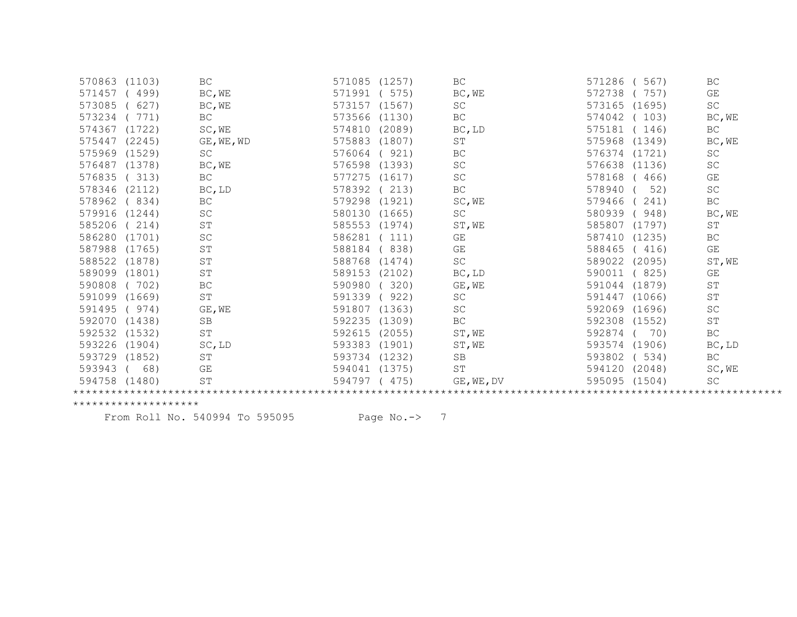| 570863        | (1103) | BC                  | 571085<br>(1257) | BC                  | 571286<br>567)   | BC                  |
|---------------|--------|---------------------|------------------|---------------------|------------------|---------------------|
| 571457        | 499)   | BC, WE              | 571991<br>575)   | BC, WE              | 572738<br>757)   | GE                  |
| 573085        | 627)   | BC, WE              | 573157<br>(1567) | SC                  | 573165 (1695)    | $\operatorname{SC}$ |
| 573234        | 771)   | BC                  | 573566<br>(1130) | BC                  | 574042<br>(103)  | BC, WE              |
| 574367        | (1722) | SC, WE              | 574810<br>(2089) | BC, LD              | 575181<br>(146)  | <b>BC</b>           |
| 575447        | (2245) | GE, WE, WD          | 575883<br>(1807) | ST                  | 575968<br>(1349) | BC, WE              |
| 575969        | (1529) | SC                  | 921)<br>576064   | BC                  | 576374<br>(1721) | SC                  |
| 576487        | (1378) | BC, WE              | 576598<br>(1393) | SC                  | 576638<br>(1136) | SC                  |
| 576835        | (313)  | BC                  | 577275<br>(1617) | SC                  | 578168<br>(466)  | GE                  |
| 578346        | (2112) | BC, LD              | 578392<br>213)   | BC                  | 578940<br>52)    | SC                  |
| 578962        | (834)  | $\operatorname{BC}$ | 579298<br>(1921) | SC, WE              | 579466<br>241)   | BC                  |
| 579916 (1244) |        | SC                  | 580130<br>(1665) | SC                  | 580939<br>948)   | BC, WE              |
| 585206        | 214)   | ST                  | 585553<br>(1974) | ST, WE              | 585807<br>(1797) | ST                  |
| 586280        | (1701) | SC                  | 586281<br>111)   | GE                  | 587410<br>(1235) | <b>BC</b>           |
| 587988        | (1765) | ST                  | 838)<br>588184   | GE                  | 588465<br>(416)  | GE                  |
| 588522        | (1878) | ST                  | 588768<br>(1474) | $\operatorname{SC}$ | 589022<br>(2095) | ST, WE              |
| 589099 (1801) |        | ST                  | 589153<br>(2102) | BC, LD              | 590011<br>(825)  | GE                  |
| 590808        | (702)  | BC                  | 590980<br>320)   | GE, WE              | 591044<br>(1879) | ST                  |
| 591099 (1669) |        | $\operatorname{ST}$ | 591339<br>922)   | SC                  | 591447<br>(1066) | $\operatorname{ST}$ |
| 591495        | (974)  | GE, WE              | 591807<br>(1363) | SC                  | 592069 (1696)    | SC                  |
| 592070 (1438) |        | <b>SB</b>           | 592235<br>(1309) | BC                  | 592308<br>(1552) | ST                  |
| 592532 (1532) |        | $\operatorname{ST}$ | 592615<br>(2055) | ST, WE              | 592874<br>70)    | BC                  |
| 593226        | (1904) | SC, LD              | 593383<br>(1901) | ST, WE              | 593574<br>(1906) | BC, LD              |
| 593729        | (1852) | $\operatorname{ST}$ | 593734<br>(1232) | SB                  | 593802<br>(534)  | <b>BC</b>           |
| 593943        | 68)    | GE                  | 594041<br>(1375) | ST                  | 594120<br>(2048) | SC, WE              |
| 594758 (1480) |        | ST                  | 594797<br>(475)  | GE, WE, DV          | 595095 (1504)    | <b>SC</b>           |
|               |        |                     |                  |                     |                  |                     |

From Roll No. 540994 To 595095 Page No.-> 7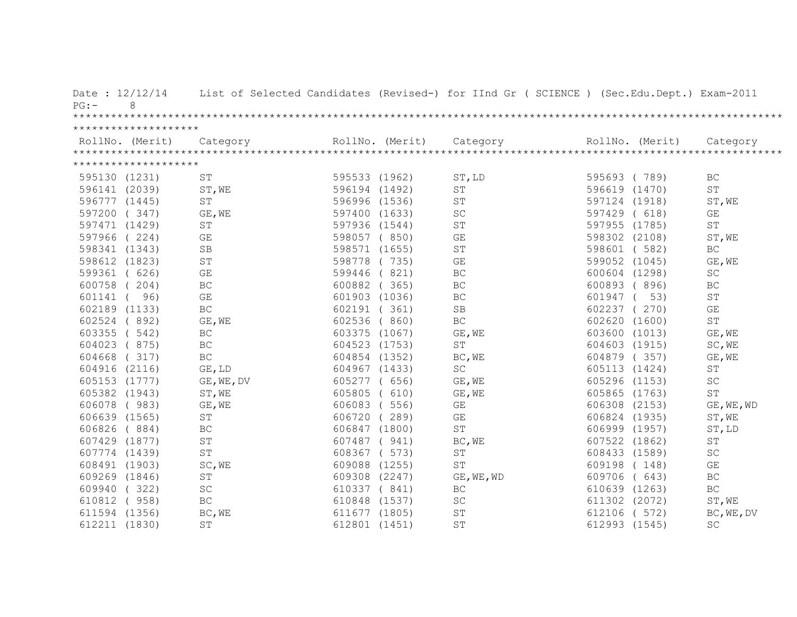| Date: $12/12/14$<br>8<br>PG:            |                     |               |                 | List of Selected Candidates (Revised-) for IInd Gr ( SCIENCE ) (Sec.Edu.Dept.) Exam-2011 |               |                 |                         |
|-----------------------------------------|---------------------|---------------|-----------------|------------------------------------------------------------------------------------------|---------------|-----------------|-------------------------|
|                                         |                     |               |                 |                                                                                          |               |                 |                         |
| ********************<br>RollNo. (Merit) | Category            |               | RollNo. (Merit) | Category                                                                                 |               | RollNo. (Merit) | Category                |
| ********************                    |                     |               |                 |                                                                                          |               |                 |                         |
| 595130 (1231)                           | <b>ST</b>           | 595533 (1962) |                 | ST, LD                                                                                   | 595693 (789)  |                 | <b>BC</b>               |
| 596141 (2039)                           | ST, WE              | 596194 (1492) |                 | ST                                                                                       | 596619 (1470) |                 | ST                      |
| 596777 (1445)                           | ST                  | 596996 (1536) |                 | <b>ST</b>                                                                                | 597124 (1918) |                 | ST, WE                  |
| 597200 (347)                            | GE, WE              | 597400 (1633) |                 | $\operatorname{SC}$                                                                      | 597429 ( 618) |                 | GE                      |
| 597471 (1429)                           | ST                  | 597936 (1544) |                 | $\operatorname{ST}$                                                                      | 597955 (1785) |                 | $\mbox{ST}$             |
| 597966 (224)                            | GE                  |               | 598057 (850)    | GE                                                                                       | 598302 (2108) |                 | ST, WE                  |
| 598341 (1343)                           | SB                  |               | 598571 (1655)   | ST                                                                                       | 598601 (582)  |                 | BC                      |
| 598612 (1823)                           | ST                  |               | 598778 (735)    | $\mathbb{G}\mathcal{E}$                                                                  | 599052 (1045) |                 | GE, WE                  |
| 599361 ( 626)                           | GE                  |               | 599446 (821)    | $\operatorname{BC}$                                                                      | 600604 (1298) |                 | $\operatorname{SC}$     |
| 600758 (204)                            | BC                  |               | 600882 (365)    | BC                                                                                       | 600893 (896)  |                 | BC                      |
| 601141 (<br>96)                         | GE                  |               | 601903 (1036)   | BC                                                                                       | 601947 (      | 53)             | $\operatorname{ST}$     |
| 602189 (1133)                           | $\operatorname{BC}$ |               | 602191 (361)    | $\operatorname{SB}$                                                                      | 602237 (270)  |                 | $\mathbb{G}\mathcal{E}$ |
| 602524 (892)                            | GE, WE              |               | 602536 (860)    | $\operatorname{BC}$                                                                      | 602620 (1600) |                 | $\mbox{S}\,\mbox{T}$    |
| 603355 ( 542)                           | BC                  |               | 603375 (1067)   | GE, WE                                                                                   | 603600 (1013) |                 | GE, WE                  |
| 604023 (875)                            | BC                  |               | 604523 (1753)   | $\operatorname{ST}$                                                                      | 604603 (1915) |                 | SC, WE                  |
| 604668 (317)                            | $\operatorname{BC}$ |               | 604854 (1352)   | BC, WE                                                                                   | 604879 (357)  |                 | GE, WE                  |
| 604916 (2116)                           | GE, LD              | 604967 (1433) |                 | $\operatorname{SC}$                                                                      | 605113 (1424) |                 | ST                      |
| 605153 (1777)                           | GE, WE, DV          | 605277 ( 656) |                 | GE, WE                                                                                   | 605296 (1153) |                 | SC                      |
| 605382 (1943)                           | ST, WE              | 605805 ( 610) |                 | GE, WE                                                                                   | 605865 (1763) |                 | $\operatorname{ST}$     |
| 606078 (983)                            | GE, WE              | 606083 (556)  |                 | $\mathbb{G}\mathcal{E}$                                                                  | 606308 (2153) |                 | GE, WE, WD              |
| 606639 (1565)                           | ST                  | 606720 (289)  |                 | GE                                                                                       | 606824 (1935) |                 | ST, WE                  |
| 606826 (884)                            | BC                  | 606847 (1800) |                 | $\operatorname{ST}$                                                                      | 606999 (1957) |                 | ST, LD                  |
| 607429 (1877)                           | $\operatorname{ST}$ | 607487 (941)  |                 | BC, WE                                                                                   | 607522 (1862) |                 | $\operatorname{ST}$     |
| 607774 (1439)                           | $\operatorname{ST}$ |               | 608367 ( 573)   | $\operatorname{ST}$                                                                      | 608433 (1589) |                 | $\operatorname{SC}$     |
| 608491 (1903)                           | SC, WE              | 609088 (1255) |                 | ST                                                                                       | 609198 (148)  |                 | GE                      |
| 609269 (1846)                           | ST                  | 609308 (2247) |                 | GE, WE, WD                                                                               | 609706 ( 643) |                 | $\operatorname{BC}$     |
| 609940 (322)                            | $\operatorname{SC}$ |               | 610337 ( 841)   | BC                                                                                       | 610639 (1263) |                 | BC                      |
| 610812 ( 958)                           | <b>BC</b>           | 610848 (1537) |                 | SC                                                                                       | 611302 (2072) |                 | ST, WE                  |
| 611594 (1356)                           | BC, WE              | 611677 (1805) |                 | $\operatorname{ST}$                                                                      | 612106 ( 572) |                 | BC, WE, DV              |
| 612211 (1830)                           | ST                  | 612801 (1451) |                 | $\operatorname{ST}$                                                                      | 612993 (1545) |                 | $\operatorname{SC}$     |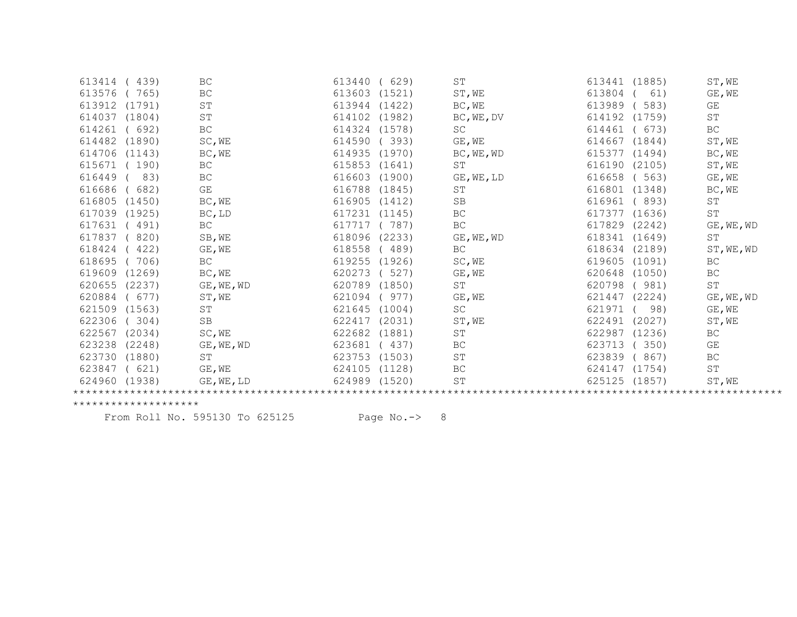| 613414 | 439)   | BC                  | 613440 | 629)   | ST                  | 613441        | (1885) | ST, WE              |
|--------|--------|---------------------|--------|--------|---------------------|---------------|--------|---------------------|
| 613576 | 765)   | <b>BC</b>           | 613603 | (1521) | ST, WE              | 613804        | 61)    | GE, WE              |
| 613912 | (1791) | ST                  | 613944 | (1422) | BC, WE              | 613989        | 583)   | GE                  |
| 614037 | (1804) | ST                  | 614102 | (1982) | BC, WE, DV          | 614192        | (1759) | $\operatorname{ST}$ |
| 614261 | 692)   | $\operatorname{BC}$ | 614324 | (1578) | SC                  | 614461        | 673)   | BC                  |
| 614482 | (1890) | SC, WE              | 614590 | 393)   | GE, WE              | 614667        | (1844) | ST, WE              |
| 614706 | (1143) | BC, WE              | 614935 | (1970) | BC, WE, WD          | 615377        | (1494) | BC, WE              |
| 615671 | 190)   | BC                  | 615853 | (1641) | ST                  | 616190        | (2105) | ST, WE              |
| 616449 | 83)    | $\operatorname{BC}$ | 616603 | (1900) | GE, WE, LD          | 616658        | (563)  | $GE$ , $WE$         |
| 616686 | 682)   | <b>GE</b>           | 616788 | (1845) | <b>ST</b>           | 616801        | (1348) | BC, WE              |
| 616805 | (1450) | BC, WE              | 616905 | (1412) | SB                  | 616961        | (893)  | ST                  |
| 617039 | (1925) | BC, LD              | 617231 | (1145) | BC                  | 617377        | (1636) | ST                  |
| 617631 | 491)   | $\operatorname{BC}$ | 617717 | 787)   | BC                  | 617829        | (2242) | GE, WE, WD          |
| 617837 | 820)   | SB, WE              | 618096 | (2233) | GE, WE, WD          | 618341 (1649) |        | ST                  |
| 618424 | 422)   | GE, WE              | 618558 | 489)   | <b>BC</b>           | 618634        | (2189) | ST, WE, WD          |
| 618695 | 706)   | BC                  | 619255 | (1926) | SC, WE              | 619605        | (1091) | BC                  |
| 619609 | (1269) | BC, WE              | 620273 | 527)   | GE, WE              | 620648        | (1050) | $\operatorname{BC}$ |
| 620655 | (2237) | GE, WE, WD          | 620789 | (1850) | ST                  | 620798        | 981)   | $\operatorname{ST}$ |
| 620884 | 677)   | ST, WE              | 621094 | 977)   | GE, WE              | 621447        | (2224) | GE, WE, WD          |
| 621509 | (1563) | ST                  | 621645 | (1004) | $\operatorname{SC}$ | 621971        | 98)    | GE, WE              |
| 622306 | 304)   | <b>SB</b>           | 622417 | (2031) | ST, WE              | 622491        | (2027) | ST, WE              |
| 622567 | (2034) | SC, WE              | 622682 | (1881) | ST                  | 622987        | (1236) | BC                  |
| 623238 | (2248) | GE, WE, WD          | 623681 | 437)   | BC                  | 623713        | 350)   | GE                  |
| 623730 | (1880) | ST                  | 623753 | (1503) | ST                  | 623839        | 867)   | BC                  |
| 623847 | 621)   | $GE$ , $WE$         | 624105 | (1128) | BC                  | 624147        | (1754) | ST                  |
| 624960 | (1938) | GE, WE, LD          | 624989 | (1520) | $\operatorname{ST}$ | 625125        | (1857) | ST, WE              |
|        |        |                     |        |        |                     |               |        |                     |

From Roll No. 595130 To 625125 Page No.-> 8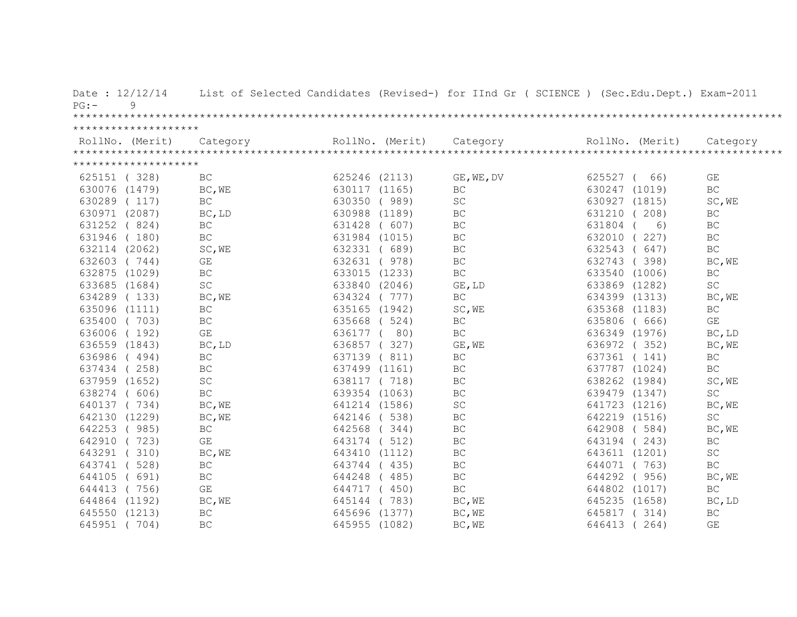| Date: $12/12/14$<br>9<br>PG: |                         |               |                 | List of Selected Candidates (Revised-) for IInd Gr ( SCIENCE ) (Sec.Edu.Dept.) Exam-2011 |                 |                     |
|------------------------------|-------------------------|---------------|-----------------|------------------------------------------------------------------------------------------|-----------------|---------------------|
|                              |                         |               |                 |                                                                                          |                 |                     |
| ********************         |                         |               |                 |                                                                                          |                 |                     |
| RollNo. (Merit)              | Category                |               | RollNo. (Merit) | Category                                                                                 | RollNo. (Merit) | Category            |
|                              |                         |               |                 |                                                                                          |                 |                     |
| ********************         |                         |               |                 |                                                                                          |                 |                     |
| 625151 (328)                 | BC                      | 625246 (2113) |                 | GE, WE, DV                                                                               | 625527 (<br>66) | GE                  |
| 630076 (1479)                | BC, WE                  |               | 630117 (1165)   | <b>BC</b>                                                                                | 630247 (1019)   | BC                  |
| 630289 (117)                 | BC                      |               | 630350 (989)    | SC                                                                                       | 630927 (1815)   | SC, WE              |
| 630971 (2087)                | BC, LD                  |               | 630988 (1189)   | BC                                                                                       | 631210 (208)    | $\operatorname{BC}$ |
| 631252 (824)                 | BC                      |               | 631428 ( 607)   | BC                                                                                       | 631804<br>6)    | BC                  |
| 631946 (180)                 | BC                      |               | 631984 (1015)   | BC                                                                                       | 632010 (227)    | BC                  |
| 632114 (2062)                | SC, WE                  |               | 632331 ( 689)   | BC                                                                                       | 632543 ( 647)   | $\operatorname{BC}$ |
| 632603 (744)                 | GE                      |               | 632631 ( 978)   | $\operatorname{BC}$                                                                      | 632743 (398)    | BC, WE              |
| 632875 (1029)                | $\operatorname{BC}$     |               | 633015 (1233)   | $\operatorname{BC}$                                                                      | 633540 (1006)   | $\operatorname{BC}$ |
| 633685 (1684)                | $\operatorname{SC}$     |               | 633840 (2046)   | GE, LD                                                                                   | 633869 (1282)   | SC                  |
| 634289 (133)                 | BC, WE                  |               | 634324 (777)    | BC                                                                                       | 634399 (1313)   | BC, WE              |
| 635096 (1111)                | BC                      |               | 635165 (1942)   | SC, WE                                                                                   | 635368 (1183)   | BC                  |
| 635400 (703)                 | BC                      |               | 635668 ( 524)   | BC                                                                                       | 635806 ( 666)   | GE                  |
| 636006 (192)                 | GE                      | 636177 (      | 80)             | BC                                                                                       | 636349 (1976)   | BC, LD              |
| 636559 (1843)                | BC, LD                  |               | 636857 (327)    | GE, WE                                                                                   | 636972 (352)    | BC, WE              |
| 636986 (494)                 | BC                      |               | 637139 (811)    | BC                                                                                       | 637361 (141)    | BC                  |
| 637434 (258)                 | BC                      | 637499 (1161) |                 | BC                                                                                       | 637787 (1024)   | BC                  |
| 637959 (1652)                | $\operatorname{SC}$     |               | 638117 (718)    | BC                                                                                       | 638262 (1984)   | SC, WE              |
| 638274 ( 606)                | $\operatorname{BC}$     |               | 639354 (1063)   | $\operatorname{BC}$                                                                      | 639479 (1347)   | $\operatorname{SC}$ |
| 640137 (734)                 | BC, WE                  |               | 641214 (1586)   | $\operatorname{SC}$                                                                      | 641723 (1216)   | BC, WE              |
| 642130 (1229)                | BC, WE                  |               | 642146 (538)    | BC                                                                                       | 642219 (1516)   | SC                  |
| 642253 (985)                 | BC                      | 642568 (344)  |                 | BC                                                                                       | 642908 (584)    | BC, WE              |
| 642910 (723)                 | $\mathbb{G}\mathcal{E}$ | 643174 ( 512) |                 | $\operatorname{BC}$                                                                      | 643194 (243)    | BC                  |
| 643291 (310)                 | BC, WE                  |               | 643410 (1112)   | $\operatorname{BC}$                                                                      | 643611 (1201)   | $\operatorname{SC}$ |
| 643741 (528)                 | $\operatorname{BC}$     |               | 643744 (435)    | BC                                                                                       | 644071 (763)    | BC                  |
| 644105<br>(691)              | $\operatorname{BC}$     | 644248 (485)  |                 | $\operatorname{BC}$                                                                      | 644292 (956)    | BC, WE              |
| 644413 (756)                 | $\mathbb{G}\mathcal{E}$ | 644717 (450)  |                 | $\operatorname{BC}$                                                                      | 644802 (1017)   | $\operatorname{BC}$ |
| 644864 (1192)                | BC, WE                  | 645144 (783)  |                 | BC, WE                                                                                   | 645235 (1658)   | BC, LD              |
| 645550 (1213)                | BC                      | 645696 (1377) |                 | BC, WE                                                                                   | 645817 (314)    | <b>BC</b>           |
| 645951 (704)                 | <b>BC</b>               | 645955 (1082) |                 | BC, WE                                                                                   | 646413<br>264)  | GE                  |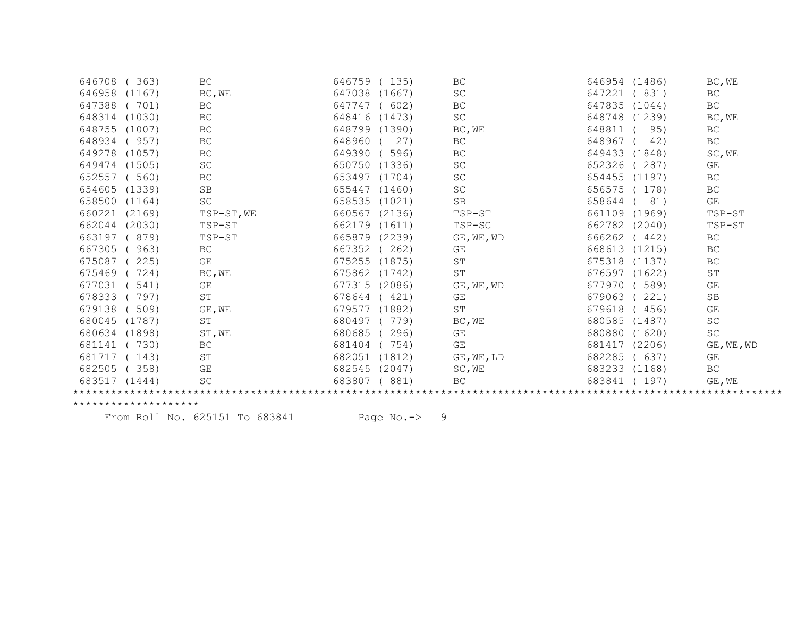| 363)<br>646708   | BC                          | 646759 | 135)   | BC                  | 646954 | (1486) | BC, WE              |
|------------------|-----------------------------|--------|--------|---------------------|--------|--------|---------------------|
| 646958<br>(1167) | BC, WE                      | 647038 | (1667) | SC                  | 647221 | (831)  | BC                  |
| 647388<br>(701)  | $\operatorname{BC}$         | 647747 | 602)   | BC                  | 647835 | (1044) | $\operatorname{BC}$ |
| 648314<br>(1030) | BC                          | 648416 | (1473) | $\operatorname{SC}$ | 648748 | (1239) | BC, WE              |
| 648755<br>(1007) | BC                          | 648799 | (1390) | BC, WE              | 648811 | 95)    | BC                  |
| 648934<br>957)   | $\operatorname{BC}$         | 648960 | 27)    | BC                  | 648967 | 42)    | BC                  |
| 649278<br>(1057) | BC                          | 649390 | 596)   | BC                  | 649433 | (1848) | SC, WE              |
| 649474<br>(1505) | SC                          | 650750 | (1336) | SC                  | 652326 | 287)   | GE                  |
| 652557<br>560)   | BC                          | 653497 | (1704) | SC                  | 654455 | (1197) | BC                  |
| 654605<br>(1339) | <b>SB</b>                   | 655447 | (1460) | $\operatorname{SC}$ | 656575 | 178)   | BC                  |
| 658500<br>(1164) | SC                          | 658535 | (1021) | $\operatorname{SB}$ | 658644 | 81)    | GE                  |
| 660221<br>(2169) | TSP-ST, WE                  | 660567 | (2136) | TSP-ST              | 661109 | (1969) | TSP-ST              |
| 662044<br>(2030) | TSP-ST                      | 662179 | (1611) | TSP-SC              | 662782 | (2040) | TSP-ST              |
| 663197<br>879)   | TSP-ST                      | 665879 | (2239) | GE, WE, WD          | 666262 | (442)  | BC                  |
| 667305<br>963)   | $\operatorname{BC}$         | 667352 | 262)   | GE                  | 668613 | (1215) | $\operatorname{BC}$ |
| 675087<br>225)   | $\mathbb{G}\mathcal{E}$     | 675255 | (1875) | ST                  | 675318 | (1137) | BC                  |
| 675469           | BC, WE<br>724)              | 675862 | (1742) | $\operatorname{ST}$ | 676597 | (1622) | $\operatorname{ST}$ |
| 677031<br>541)   | GE                          | 677315 | (2086) | GE, WE, WD          | 677970 | 589)   | GE                  |
| 678333           | $\operatorname{ST}$<br>797) | 678644 | 421)   | GE                  | 679063 | 221)   | <b>SB</b>           |
| 679138<br>509)   | GE, WE                      | 679577 | (1882) | <b>ST</b>           | 679618 | (456)  | GE                  |
| 680045<br>(1787) | $\operatorname{ST}$         | 680497 | 779)   | BC, WE              | 680585 | (1487) | $\operatorname{SC}$ |
| 680634<br>(1898) | ST, WE                      | 680685 | 296)   | GE                  | 680880 | (1620) | $\operatorname{SC}$ |
| 681141<br>730)   | BC                          | 681404 | 754)   | GE                  | 681417 | (2206) | GE, WE, WD          |
| 681717<br>143)   | $\operatorname{ST}$         | 682051 | (1812) | GE, WE, LD          | 682285 | (637)  | GE                  |
| 682505<br>358)   | GE                          | 682545 | (2047) | SC, WE              | 683233 | (1168) | BC                  |
| 683517 (1444)    | SC                          | 683807 | 881)   | BC                  | 683841 | (197)  | GE, WE              |
|                  |                             |        |        |                     |        |        |                     |

From Roll No. 625151 To 683841 Page No.-> 9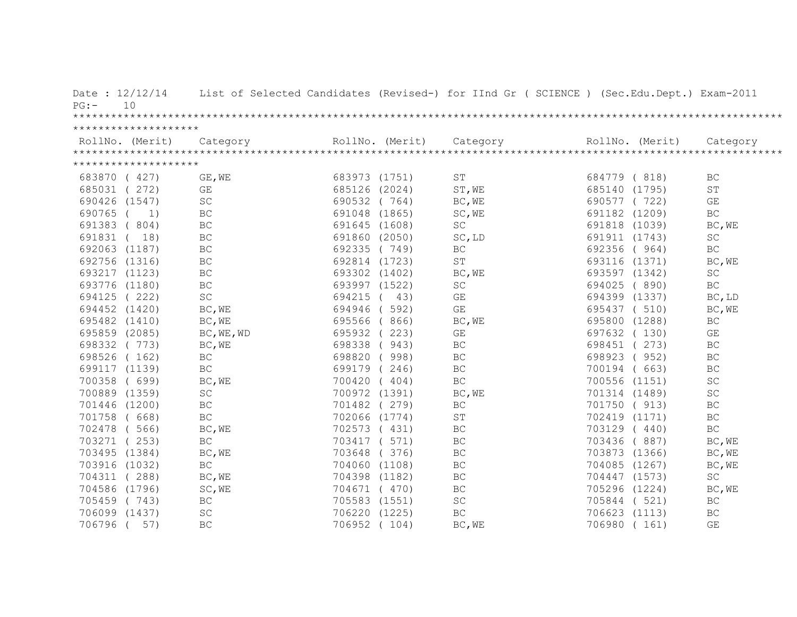| Date: $12/12/14$<br>10<br>PG: |                                                                                                                                                                                                                                                                                                                                                                                                                                                                  |                                |                               | List of Selected Candidates (Revised-) for IInd Gr ( SCIENCE ) (Sec.Edu.Dept.) Exam-2011 |                               |  |
|-------------------------------|------------------------------------------------------------------------------------------------------------------------------------------------------------------------------------------------------------------------------------------------------------------------------------------------------------------------------------------------------------------------------------------------------------------------------------------------------------------|--------------------------------|-------------------------------|------------------------------------------------------------------------------------------|-------------------------------|--|
|                               |                                                                                                                                                                                                                                                                                                                                                                                                                                                                  |                                |                               |                                                                                          |                               |  |
| ********************          | $\begin{minipage}{.45\textwidth} \begin{minipage}{0.5cm} \begin{minipage}{0.5cm} \begin{minipage}{0.5cm} \begin{minipage}{0.5cm} \begin{minipage}{0.5cm} \begin{minipage}{0.5cm} \begin{minipage}{0.5cm} \begin{minipage}{0.5cm} \begin{minipage}{0.5cm} \begin{minipage}{0.5cm} \begin{minipage}{0.5cm} \begin{minipage}{0.5cm} \begin{minipage}{0.5cm} \begin{minipage}{0.5cm} \begin{minipage}{0.5cm} \begin{minipage}{0.5cm} \begin{minipage}{0.5cm} \begin$ | RollNo. (Merit)                |                               | RollNo. (Merit)                                                                          |                               |  |
| ********************          |                                                                                                                                                                                                                                                                                                                                                                                                                                                                  |                                |                               |                                                                                          |                               |  |
| 683870 ( 427)                 | GE, WE                                                                                                                                                                                                                                                                                                                                                                                                                                                           | 683973 (1751)                  | ST                            | 684779 (818)                                                                             | BC                            |  |
| 685031 (272)                  | GE                                                                                                                                                                                                                                                                                                                                                                                                                                                               | 685126 (2024)                  | ST, WE                        | 685140 (1795)                                                                            | ST                            |  |
| 690426 (1547)                 | <b>SC</b>                                                                                                                                                                                                                                                                                                                                                                                                                                                        | 690532 (764)                   |                               | 690577 (722)                                                                             | GE                            |  |
| 690765 (                      | BC<br>1)                                                                                                                                                                                                                                                                                                                                                                                                                                                         | 691048 (1865)                  | BC, WE<br>SC, WE              | 691182 (1209)                                                                            | $\operatorname{BC}$           |  |
|                               | $\operatorname{BC}$                                                                                                                                                                                                                                                                                                                                                                                                                                              | 691645 (1608)                  | $\operatorname{SC}$           |                                                                                          | BC, WE                        |  |
| 691383 (804)                  |                                                                                                                                                                                                                                                                                                                                                                                                                                                                  |                                |                               | 691818 (1039)                                                                            |                               |  |
| 691831 ( 18)                  | $\operatorname{BC}$<br><b>BC</b>                                                                                                                                                                                                                                                                                                                                                                                                                                 | 691860 (2050)                  | SC, LD                        | 691911 (1743)<br>692356 (964)                                                            | SC<br>BC                      |  |
| 692063 (1187)                 | $\operatorname{BC}$                                                                                                                                                                                                                                                                                                                                                                                                                                              | 692335 (749)                   | BC<br>$\operatorname{ST}$     |                                                                                          |                               |  |
| 692756 (1316)                 | $\operatorname{BC}$                                                                                                                                                                                                                                                                                                                                                                                                                                              | 692814 (1723)<br>693302 (1402) |                               | 693116 (1371)<br>693597 (1342)                                                           | BC, WE<br>$\operatorname{SC}$ |  |
| 693217 (1123)                 | <b>BC</b>                                                                                                                                                                                                                                                                                                                                                                                                                                                        |                                | BC, WE<br>$\operatorname{SC}$ |                                                                                          | BC                            |  |
| 693776 (1180)                 | <b>SC</b>                                                                                                                                                                                                                                                                                                                                                                                                                                                        | 693997 (1522)<br>694215 ( 43)  | GE                            | 694025 (890)<br>694399 (1337)                                                            |                               |  |
| 694125 (222)                  |                                                                                                                                                                                                                                                                                                                                                                                                                                                                  |                                |                               |                                                                                          | BC, LD                        |  |
| 694452 (1420)                 | BC, WE                                                                                                                                                                                                                                                                                                                                                                                                                                                           | 694946 (592)                   | $\mathbb{G}\mathcal{E}$       | 695437 (510)                                                                             | BC, WE                        |  |
| 695482 (1410)                 | BC, WE                                                                                                                                                                                                                                                                                                                                                                                                                                                           | 695566 (866)                   | BC, WE<br>GE                  | 695800 (1288)                                                                            | $\operatorname{BC}$<br>GE     |  |
| 695859 (2085)                 | BC, WE, WD                                                                                                                                                                                                                                                                                                                                                                                                                                                       | 695932 (223)                   |                               | 697632 (130)                                                                             |                               |  |
| 698332 (773)                  | BC, WE                                                                                                                                                                                                                                                                                                                                                                                                                                                           | 698338 (943)                   | BC                            | 698451 (273)                                                                             | BC                            |  |
| 698526 (162)                  | BC                                                                                                                                                                                                                                                                                                                                                                                                                                                               | 698820 (998)                   | $\operatorname{BC}$           | 698923 (952)                                                                             | $\operatorname{BC}$           |  |
| 699117 (1139)                 | BC                                                                                                                                                                                                                                                                                                                                                                                                                                                               | 699179 (246)                   | BC                            | 700194 ( 663)                                                                            | BC                            |  |
| 700358 ( 699)                 | BC, WE                                                                                                                                                                                                                                                                                                                                                                                                                                                           | 700420 (404)                   | BC                            | 700556 (1151)                                                                            | SC                            |  |
| 700889 (1359)                 | $\operatorname{SC}$                                                                                                                                                                                                                                                                                                                                                                                                                                              | 700972 (1391)                  | BC, WE                        | 701314 (1489)                                                                            | SC                            |  |
| 701446 (1200)                 | $\operatorname{BC}$                                                                                                                                                                                                                                                                                                                                                                                                                                              | 701482 (279)                   | $\operatorname{BC}$           | 701750 (913)                                                                             | $\operatorname{BC}$           |  |
| 701758 ( 668)                 | $\operatorname{BC}$                                                                                                                                                                                                                                                                                                                                                                                                                                              | 702066 (1774)                  | ST                            | 702419 (1171)                                                                            | BC                            |  |
| 702478 ( 566)                 | BC, WE                                                                                                                                                                                                                                                                                                                                                                                                                                                           | 702573 (431)                   | BC                            | 703129 (440)                                                                             | $\operatorname{BC}$           |  |
| 703271 (253)                  | $\operatorname{BC}$                                                                                                                                                                                                                                                                                                                                                                                                                                              | 703417 ( 571)                  | $\operatorname{BC}$           | 703436 (887)                                                                             | BC, WE                        |  |
| 703495 (1384)                 | BC, WE                                                                                                                                                                                                                                                                                                                                                                                                                                                           | 703648 (376)                   | $\operatorname{BC}$           | 703873 (1366)                                                                            | BC, WE                        |  |
| 703916 (1032)                 | <b>BC</b>                                                                                                                                                                                                                                                                                                                                                                                                                                                        | 704060 (1108)                  | $\operatorname{BC}$           | 704085 (1267)                                                                            | BC, WE                        |  |
| 704311 (288)                  | BC, WE                                                                                                                                                                                                                                                                                                                                                                                                                                                           | 704398 (1182)                  | $\operatorname{BC}$           | 704447 (1573)                                                                            | $\operatorname{SC}$           |  |
| 704586 (1796)                 | SC, WE                                                                                                                                                                                                                                                                                                                                                                                                                                                           | 704671 (470)                   | $\operatorname{BC}$           | 705296 (1224)                                                                            | BC, WE                        |  |
| 705459 (743)                  | <b>BC</b>                                                                                                                                                                                                                                                                                                                                                                                                                                                        | 705583 (1551)                  | $\operatorname{SC}$           | 705844 (521)                                                                             | BC                            |  |
| 706099 (1437)                 | SC                                                                                                                                                                                                                                                                                                                                                                                                                                                               | 706220 (1225)                  | $\operatorname{BC}$           | 706623 (1113)                                                                            | BC                            |  |
| 706796                        | 57)<br><b>BC</b>                                                                                                                                                                                                                                                                                                                                                                                                                                                 | 706952 (104)                   | BC, WE                        | 706980 (161)                                                                             | GE                            |  |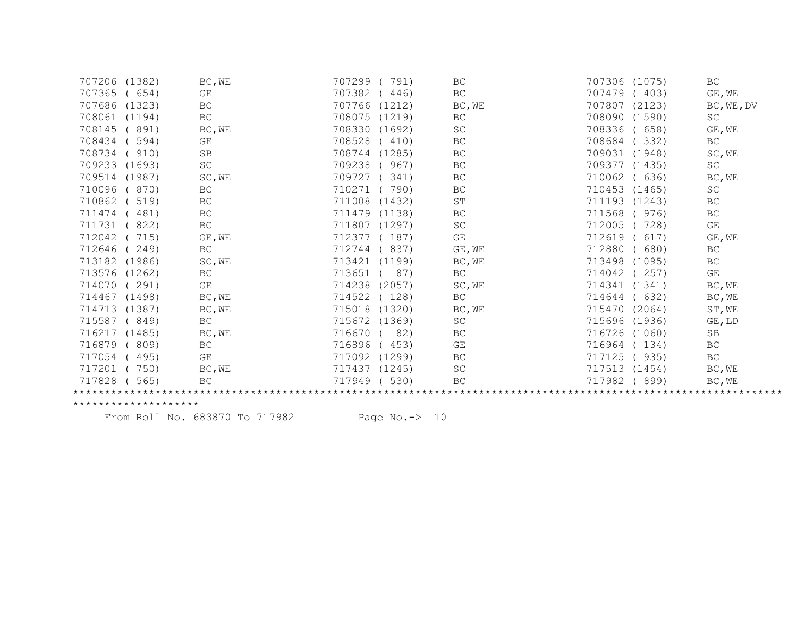| 707206 (1382)    | BC, WE              | 707299<br>791)   | BC                      | 707306 (1075)    | BC         |
|------------------|---------------------|------------------|-------------------------|------------------|------------|
| 707365<br>(654)  | GE                  | 707382<br>446)   | BC                      | 707479<br>(403)  | GE, WE     |
| 707686 (1323)    | BC                  | 707766<br>(1212) | BC, WE                  | 707807<br>(2123) | BC, WE, DV |
| 708061<br>(1194) | $\operatorname{BC}$ | 708075<br>(1219) | BC                      | 708090 (1590)    | SC         |
| 708145<br>891)   | BC, WE              | 708330<br>(1692) | $\operatorname{SC}$     | 708336<br>(658)  | GE, WE     |
| 708434<br>594)   | GE                  | 708528<br>410)   | BC                      | 708684<br>(332)  | BC         |
| 708734<br>(910)  | <b>SB</b>           | 708744 (1285)    | BC                      | 709031 (1948)    | SC, WE     |
| 709233 (1693)    | SC                  | 709238<br>967)   | BC                      | 709377 (1435)    | SC         |
| 709514 (1987)    | SC, WE              | 709727<br>341)   | BC                      | 710062<br>(636)  | BC, WE     |
| 710096<br>870)   | BC                  | 710271<br>790)   | BC                      | 710453 (1465)    | SC         |
| 710862<br>519)   | BC                  | 711008<br>(1432) | $\operatorname{ST}$     | 711193 (1243)    | <b>BC</b>  |
| 711474<br>481)   | $\operatorname{BC}$ | 711479<br>(1138) | BC                      | 711568<br>(976)  | BC         |
| 711731<br>822)   | $\operatorname{BC}$ | 711807<br>(1297) | SC                      | 712005<br>728)   | GE         |
| 712042<br>715)   | GE, WE              | 712377<br>187)   | $\mathbb{G}\mathcal{E}$ | 712619<br>617)   | GE, WE     |
| 712646<br>249)   | <b>BC</b>           | 712744<br>837)   | GE, WE                  | 712880<br>(680)  | BC         |
| 713182<br>(1986) | SC, WE              | 713421<br>(1199) | BC, WE                  | 713498<br>(1095) | BC         |
| 713576<br>(1262) | BC                  | 713651<br>87)    | BC                      | 714042<br>(257)  | GE         |
| 714070<br>291)   | GE                  | 714238<br>(2057) | SC, WE                  | 714341 (1341)    | BC, WE     |
| (1498)<br>714467 | BC, WE              | 714522<br>(128)  | BC                      | 714644<br>(632)  | BC, WE     |
| 714713<br>(1387) | BC, WE              | 715018<br>(1320) | BC, WE                  | 715470<br>(2064) | ST, WE     |
| 715587<br>(849)  | BC                  | 715672<br>(1369) | SC                      | 715696 (1936)    | GE, LD     |
| 716217 (1485)    | BC, WE              | 716670<br>82)    | BC                      | 716726 (1060)    | SB         |
| 716879<br>809)   | $\operatorname{BC}$ | 716896<br>453)   | GE                      | 716964<br>(134)  | BC         |
| 717054<br>495)   | GE                  | 717092<br>(1299) | BC                      | 717125<br>(935)  | BC         |
| 717201<br>750)   | BC, WE              | 717437<br>(1245) | SC                      | 717513<br>(1454) | BC, WE     |
| 717828<br>565)   | BC                  | 717949<br>530)   | ВC                      | 717982<br>(899)  | BC, WE     |
|                  |                     |                  |                         |                  |            |

From Roll No. 683870 To 717982 Page No.-> 10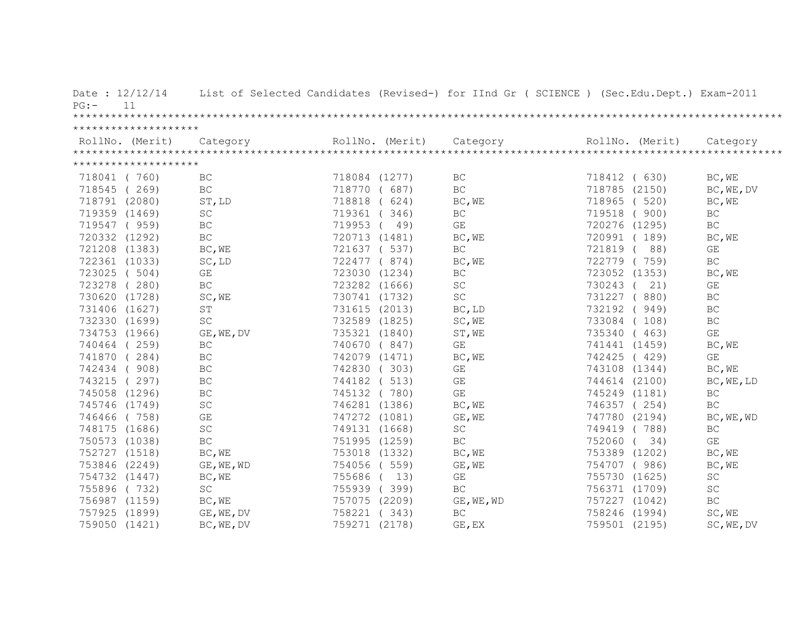| Date: $12/12/14$<br>11<br>$PG:$ - |                     |               |                 | List of Selected Candidates (Revised-) for IInd Gr ( SCIENCE ) (Sec.Edu.Dept.) Exam-2011 |                 |                         |
|-----------------------------------|---------------------|---------------|-----------------|------------------------------------------------------------------------------------------|-----------------|-------------------------|
| ********************              |                     |               |                 |                                                                                          |                 |                         |
| RollNo. (Merit)                   | Category            |               | RollNo. (Merit) | Category                                                                                 | RollNo. (Merit) | Category                |
| ********************              |                     |               |                 |                                                                                          |                 |                         |
| 718041 (760)                      | BC                  | 718084 (1277) |                 | BC                                                                                       | 718412 ( 630)   | BC, WE                  |
| 718545 (269)                      | <b>BC</b>           | 718770 ( 687) |                 | $\operatorname{BC}$                                                                      | 718785 (2150)   | BC, WE, DV              |
| 718791 (2080)                     | ST, LD              | 718818        | (624)           | BC, WE                                                                                   | 718965<br>(520) | BC, WE                  |
| 719359 (1469)                     | $\operatorname{SC}$ | 719361 (346)  |                 | BC                                                                                       | 719518<br>(900) | BC                      |
| 719547 (959)                      | $\operatorname{BC}$ | 719953 (      | 49)             | $\mathbb{G}\mathcal{E}$                                                                  | 720276 (1295)   | $\operatorname{BC}$     |
| 720332 (1292)                     | $\operatorname{BC}$ | 720713 (1481) |                 | BC, WE                                                                                   | 720991 (189)    | BC, WE                  |
| 721208 (1383)                     | BC, WE              | 721637 ( 537) |                 | BC                                                                                       | 88)<br>721819   | GE                      |
| 722361 (1033)                     | SC, LD              | 722477 (874)  |                 | BC, WE                                                                                   | 722779 (759)    | $\operatorname{BC}$     |
| 723025 (504)                      | GE                  | 723030 (1234) |                 | $\operatorname{BC}$                                                                      | 723052 (1353)   | BC, WE                  |
| 723278 (280)                      | BC                  | 723282 (1666) |                 | SC                                                                                       | 730243 (<br>21) | GE                      |
| 730620 (1728)                     | SC, WE              | 730741 (1732) |                 | $\operatorname{SC}$                                                                      | 731227 (880)    | <b>BC</b>               |
| 731406 (1627)                     | ST                  | 731615 (2013) |                 | BC, LD                                                                                   | 732192 (949)    | $\operatorname{BC}$     |
| 732330 (1699)                     | $\operatorname{SC}$ | 732589 (1825) |                 | SC, WE                                                                                   | 733084 (108)    | $\operatorname{BC}$     |
| 734753 (1966)                     | GE, WE, DV          | 735321 (1840) |                 | ST, WE                                                                                   | 735340 ( 463)   | GE                      |
| 740464 (259)                      | $\operatorname{BC}$ | 740670 (847)  |                 | GE                                                                                       | 741441 (1459)   | BC, WE                  |
| 741870 (284)                      | BC                  | 742079 (1471) |                 | BC, WE                                                                                   | 742425 (429)    | GE                      |
| 742434 (908)                      | BC                  | 742830 (303)  |                 | GE                                                                                       | 743108 (1344)   | BC, WE                  |
| 743215 (297)                      | BC                  | 744182 ( 513) |                 | GE                                                                                       | 744614 (2100)   | BC, WE, LD              |
| 745058 (1296)                     | $\operatorname{BC}$ | 745132 (780)  |                 | $\mathbb{G}\mathcal{E}$                                                                  | 745249 (1181)   | BC                      |
| 745746 (1749)                     | $\operatorname{SC}$ | 746281 (1386) |                 | BC, WE                                                                                   | 746357 (254)    | $\operatorname{BC}$     |
| 746466 (758)                      | GE                  | 747272 (1081) |                 | GE, WE                                                                                   | 747780 (2194)   | BC, WE, WD              |
| 748175 (1686)                     | $\operatorname{SC}$ | 749131 (1668) |                 | $\operatorname{SC}$                                                                      | 749419 (788)    | BC                      |
| 750573 (1038)                     | $\operatorname{BC}$ | 751995 (1259) |                 | $\operatorname{BC}$                                                                      | 752060<br>34)   | $\mathbb{G}\mathcal{E}$ |
| 752727 (1518)                     | BC, WE              | 753018 (1332) |                 | BC, WE                                                                                   | 753389 (1202)   | BC, WE                  |
| 753846 (2249)                     | GE, WE, WD          | 754056 (559)  |                 | GE, WE                                                                                   | 754707 (986)    | BC, WE                  |
| 754732 (1447)                     | BC, WE              | 755686 ( 13)  |                 | $\mathbb{G}\mathcal{E}$                                                                  | 755730 (1625)   | $\operatorname{SC}$     |
| 755896 (732)                      | $\operatorname{SC}$ | 755939 (399)  |                 | $\operatorname{BC}$                                                                      | 756371 (1709)   | SC                      |
| 756987 (1159)                     | BC, WE              | 757075 (2209) |                 | GE, WE, WD                                                                               | 757227 (1042)   | BC                      |
| 757925 (1899)                     | GE, WE, DV          | 758221 (343)  |                 | <b>BC</b>                                                                                | 758246 (1994)   | SC, WE                  |
| 759050 (1421)                     | BC, WE, DV          | 759271 (2178) |                 | GE, EX                                                                                   | 759501 (2195)   | SC, WE, DV              |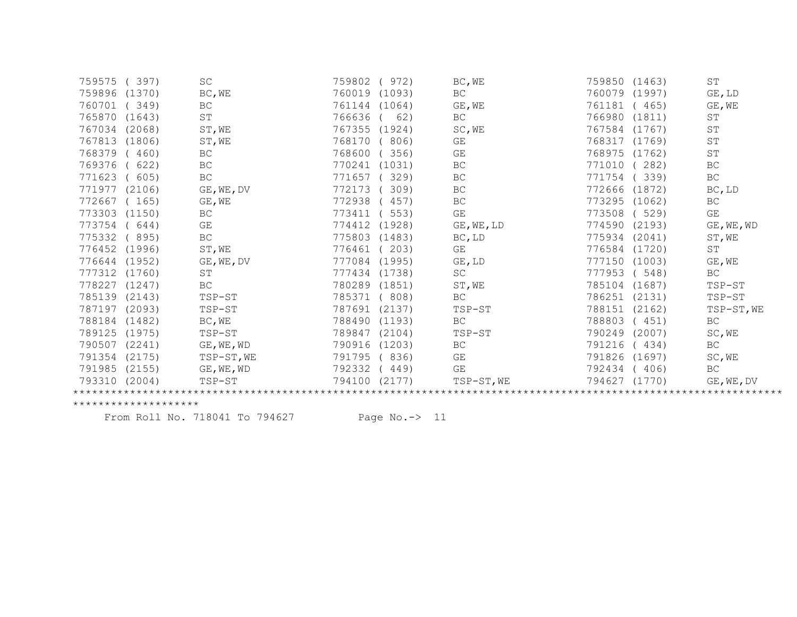| 759575        | (397)  | $\operatorname{SC}$ | 759802<br>972)   | BC, WE                  | 759850 (1463)    | ST                      |
|---------------|--------|---------------------|------------------|-------------------------|------------------|-------------------------|
| 759896 (1370) |        | BC, WE              | 760019<br>(1093) | BC                      | 760079 (1997)    | GE, LD                  |
| 760701        | (349)  | BC                  | 761144<br>(1064) | GE, WE                  | 761181<br>(465)  | GE, WE                  |
| 765870 (1643) |        | $\operatorname{ST}$ | 766636<br>62)    | BC                      | 766980 (1811)    | $\operatorname{ST}$     |
| 767034 (2068) |        | $ST$ , WE           | 767355<br>(1924) | SC, WE                  | 767584 (1767)    | ST                      |
| 767813 (1806) |        | ST, WE              | 768170<br>806)   | GE                      | 768317 (1769)    | ST                      |
| 768379        | (460)  | <b>BC</b>           | 768600<br>356)   | GE                      | 768975 (1762)    | ST                      |
| 769376        | 622)   | BC                  | 770241<br>(1031) | BC                      | 771010<br>(282)  | BC                      |
| 771623        | (605)  | $\operatorname{BC}$ | 771657<br>329)   | BC                      | 771754<br>(339)  | BC                      |
| 771977 (2106) |        | GE, WE, DV          | 772173<br>309)   | BC                      | 772666<br>(1872) | BC, LD                  |
| 772667 (165)  |        | GE, WE              | 772938<br>457)   | BC                      | 773295 (1062)    | BC                      |
| 773303        | (1150) | BC                  | 773411<br>553)   | $\mathbb{G}\mathcal{E}$ | 773508<br>(529)  | $\mathbb{G}\mathcal{E}$ |
| 773754        | (644)  | GE                  | 774412<br>(1928) | GE, WE, LD              | 774590<br>(2193) | GE, WE, WD              |
| 775332        | (895)  | $\operatorname{BC}$ | 775803<br>(1483) | BC, LD                  | 775934 (2041)    | ST, WE                  |
| 776452 (1996) |        | ST, WE              | 203)<br>776461   | GE                      | 776584 (1720)    | ST                      |
| 776644 (1952) |        | GE, WE, DV          | 777084<br>(1995) | GE, LD                  | 777150 (1003)    | GE, WE                  |
| 777312 (1760) |        | $\operatorname{ST}$ | 777434<br>(1738) | SC                      | 777953<br>(548)  | <b>BC</b>               |
| 778227        | (1247) | $\operatorname{BC}$ | 780289<br>(1851) | ST, WE                  | 785104<br>(1687) | $TSP-ST$                |
| 785139 (2143) |        | TSP-ST              | 785371<br>808)   | BC                      | 786251 (2131)    | TSP-ST                  |
| 787197 (2093) |        | TSP-ST              | 787691<br>(2137) | TSP-ST                  | 788151<br>(2162) | TSP-ST, WE              |
| 788184        | (1482) | BC, WE              | 788490<br>(1193) | BC                      | 788803<br>(451)  | BC                      |
| 789125        | (1975) | TSP-ST              | 789847<br>(2104) | TSP-ST                  | 790249<br>(2007) | SC, WE                  |
| 790507        | (2241) | GE, WE, WD          | 790916<br>(1203) | BC                      | 791216<br>(434)  | BC                      |
| 791354 (2175) |        | TSP-ST, WE          | 791795<br>836)   | GE                      | 791826 (1697)    | SC, WE                  |
| 791985        | (2155) | GE, WE, WD          | 792332<br>449)   | GE                      | 792434<br>(406)  | <b>BC</b>               |
| 793310        | (2004) | TSP-ST              | 794100<br>(2177) | TSP-ST, WE              | 794627<br>(1770) | GE, WE, DV              |
|               |        |                     |                  |                         |                  |                         |

From Roll No. 718041 To 794627 Page No.-> 11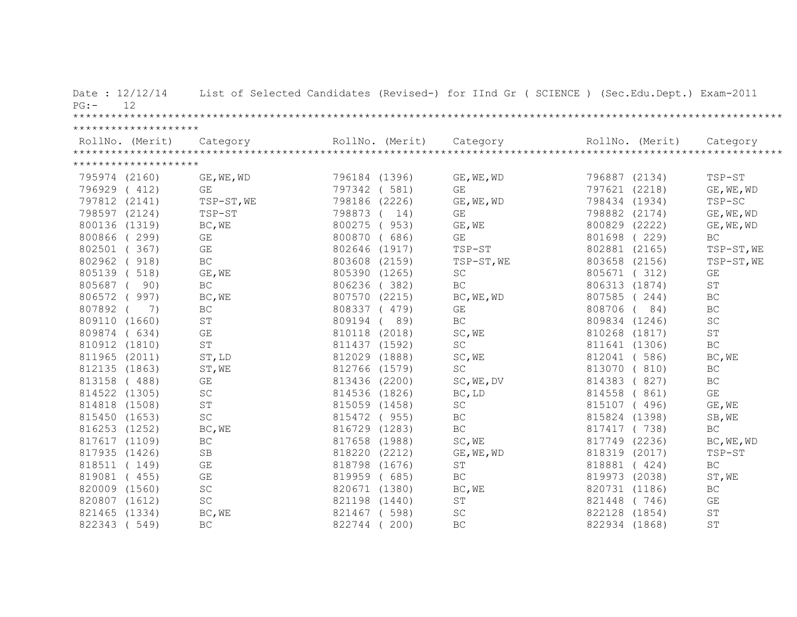| Date: 12/12/14<br>12<br>$PG: -$ |                         |               |              | List of Selected Candidates (Revised-) for IInd Gr ( SCIENCE ) (Sec.Edu.Dept.) Exam-2011                                                                                                                                                                                                                                                                                                                                                                         |               |                      |
|---------------------------------|-------------------------|---------------|--------------|------------------------------------------------------------------------------------------------------------------------------------------------------------------------------------------------------------------------------------------------------------------------------------------------------------------------------------------------------------------------------------------------------------------------------------------------------------------|---------------|----------------------|
| ********************            |                         |               |              |                                                                                                                                                                                                                                                                                                                                                                                                                                                                  |               |                      |
|                                 |                         |               |              | $\begin{minipage}{.45\textwidth} \begin{minipage}{0.5cm} \begin{minipage}{0.5cm} \begin{minipage}{0.5cm} \begin{minipage}{0.5cm} \begin{minipage}{0.5cm} \begin{minipage}{0.5cm} \begin{minipage}{0.5cm} \begin{minipage}{0.5cm} \begin{minipage}{0.5cm} \begin{minipage}{0.5cm} \begin{minipage}{0.5cm} \begin{minipage}{0.5cm} \begin{minipage}{0.5cm} \begin{minipage}{0.5cm} \begin{minipage}{0.5cm} \begin{minipage}{0.5cm} \begin{minipage}{0.5cm} \begin$ |               |                      |
| ********************            |                         |               |              |                                                                                                                                                                                                                                                                                                                                                                                                                                                                  |               |                      |
| 795974 (2160)                   | GE, WE, WD              | 796184 (1396) |              | GE, WE, WD                                                                                                                                                                                                                                                                                                                                                                                                                                                       | 796887 (2134) | TSP-ST               |
| 796929 (412)                    | GE                      | 797342 (581)  |              | GE                                                                                                                                                                                                                                                                                                                                                                                                                                                               | 797621 (2218) | GE, WE, WD           |
| 797812 (2141)                   | TSP-ST, WE              | 798186 (2226) |              | GE, WE, WD                                                                                                                                                                                                                                                                                                                                                                                                                                                       | 798434 (1934) | TSP-SC               |
| 798597 (2124)                   | TSP-ST                  | 798873 ( 14)  |              | $\mathbb{G}\mathcal{E}$                                                                                                                                                                                                                                                                                                                                                                                                                                          | 798882 (2174) | GE, WE, WD           |
| 800136 (1319)                   | BC, WE                  | 800275 (953)  |              | GE, WE                                                                                                                                                                                                                                                                                                                                                                                                                                                           | 800829 (2222) | GE, WE, WD           |
| 800866 (299)                    | GE                      |               | 800870 (686) | GE                                                                                                                                                                                                                                                                                                                                                                                                                                                               | 801698 (229)  | BC.                  |
| 802501 (367)                    | GE                      | 802646 (1917) |              | TSP-ST                                                                                                                                                                                                                                                                                                                                                                                                                                                           | 802881 (2165) | TSP-ST, WE           |
| 802962 (918)                    | BC                      | 803608 (2159) |              | TSP-ST, WE                                                                                                                                                                                                                                                                                                                                                                                                                                                       | 803658 (2156) | TSP-ST, WE           |
| 805139 (518)                    | GE, WE                  | 805390 (1265) |              | SC                                                                                                                                                                                                                                                                                                                                                                                                                                                               | 805671 (312)  | GE                   |
| 805687 ( 90)                    | $\operatorname{BC}$     | 806236 (382)  |              | BC                                                                                                                                                                                                                                                                                                                                                                                                                                                               | 806313 (1874) | $\mbox{S}\,\mbox{T}$ |
| 806572 (997)                    | BC, WE                  | 807570 (2215) |              | BC, WE, WD                                                                                                                                                                                                                                                                                                                                                                                                                                                       | 807585 (244)  | BC                   |
| 807892 (<br>7)                  | $\operatorname{BC}$     | 808337 (479)  |              | GE                                                                                                                                                                                                                                                                                                                                                                                                                                                               | 808706 ( 84)  | $\operatorname{BC}$  |
| 809110 (1660)                   | ST                      | 809194 (89)   |              | BC                                                                                                                                                                                                                                                                                                                                                                                                                                                               | 809834 (1246) | <b>SC</b>            |
| 809874 (634)                    | GE                      | 810118 (2018) |              | SC, WE                                                                                                                                                                                                                                                                                                                                                                                                                                                           | 810268 (1817) | $\operatorname{ST}$  |
| 810912 (1810)                   | ST                      | 811437 (1592) |              | $\operatorname{SC}$                                                                                                                                                                                                                                                                                                                                                                                                                                              | 811641 (1306) | BC                   |
| 811965 (2011)                   | ST, LD                  | 812029 (1888) |              | SC, WE                                                                                                                                                                                                                                                                                                                                                                                                                                                           | 812041 (586)  | BC, WE               |
| 812135 (1863)                   | ST, WE                  | 812766 (1579) |              | $\operatorname{SC}$                                                                                                                                                                                                                                                                                                                                                                                                                                              | 813070 (810)  | $\operatorname{BC}$  |
| 813158 (488)                    | GE                      | 813436 (2200) |              | SC, WE, DV                                                                                                                                                                                                                                                                                                                                                                                                                                                       | 814383 (827)  | BC                   |
| 814522 (1305)                   | SC                      | 814536 (1826) |              | BC, LD                                                                                                                                                                                                                                                                                                                                                                                                                                                           | 814558 (861)  | GE                   |
| 814818 (1508)                   | $\mbox{ST}$             | 815059 (1458) |              | SC                                                                                                                                                                                                                                                                                                                                                                                                                                                               | 815107 (496)  | GE, WE               |
| 815450 (1653)                   | $\operatorname{SC}$     | 815472 (955)  |              | BC                                                                                                                                                                                                                                                                                                                                                                                                                                                               | 815824 (1398) | SB, WE               |
| 816253 (1252)                   | BC, WE                  | 816729 (1283) |              | $\operatorname{BC}$                                                                                                                                                                                                                                                                                                                                                                                                                                              | 817417 (738)  | $\operatorname{BC}$  |
| 817617 (1109)                   | $\operatorname{BC}$     | 817658 (1988) |              | SC, WE                                                                                                                                                                                                                                                                                                                                                                                                                                                           | 817749 (2236) | BC, WE, WD           |
| 817935 (1426)                   | <b>SB</b>               | 818220 (2212) |              | GE, WE, WD                                                                                                                                                                                                                                                                                                                                                                                                                                                       | 818319 (2017) | TSP-ST               |
| 818511 (149)                    | $\mathbb{G}\mathcal{E}$ | 818798 (1676) |              | ST                                                                                                                                                                                                                                                                                                                                                                                                                                                               | 818881 (424)  | $\operatorname{BC}$  |
| 819081 (455)                    | $\mathbb{G}\mathcal{E}$ | 819959 (685)  |              | $\operatorname{BC}$                                                                                                                                                                                                                                                                                                                                                                                                                                              | 819973 (2038) | ST, WE               |
| 820009 (1560)                   | SC                      | 820671 (1380) |              | BC, WE                                                                                                                                                                                                                                                                                                                                                                                                                                                           | 820731 (1186) | BC                   |
| 820807 (1612)                   | $\operatorname{SC}$     | 821198 (1440) |              | $\operatorname{ST}$                                                                                                                                                                                                                                                                                                                                                                                                                                              | 821448 (746)  | GE                   |
| 821465 (1334)                   | BC, WE                  | 821467 (598)  |              | SC                                                                                                                                                                                                                                                                                                                                                                                                                                                               | 822128 (1854) | $\mbox{ST}$          |
| 822343 (549)                    | BC                      | 822744 (      | 200)         | BC                                                                                                                                                                                                                                                                                                                                                                                                                                                               | 822934 (1868) | ST                   |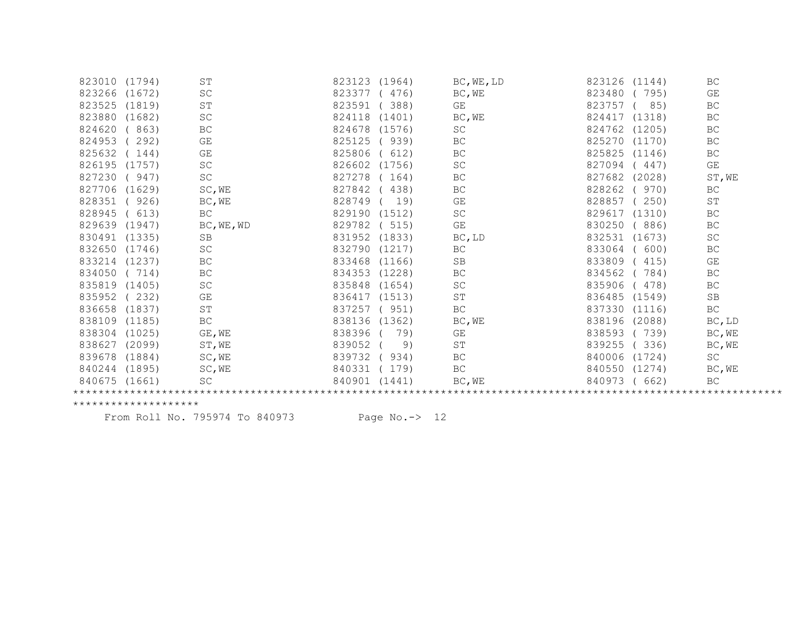| 823010 (1794) |       | ST                  | 823123 (1964)    | BC, WE, LD | 823126 (1144)   | BC                  |
|---------------|-------|---------------------|------------------|------------|-----------------|---------------------|
| 823266 (1672) |       | SC                  | 823377<br>476)   | BC, WE     | 823480<br>(795) | GE                  |
| 823525 (1819) |       | $\operatorname{ST}$ | 823591 (388)     | GE         | 823757<br>85)   | <b>BC</b>           |
| 823880 (1682) |       | SC                  | (1401)<br>824118 | BC, WE     | 824417 (1318)   | BC                  |
| 824620        | (863) | BC                  | 824678 (1576)    | SC         | 824762 (1205)   | <b>BC</b>           |
| 824953        | 292)  | GE                  | 825125<br>(939)  | BC         | 825270 (1170)   | <b>BC</b>           |
| 825632        | (144) | GE                  | 825806<br>612)   | BC         | 825825 (1146)   | <b>BC</b>           |
| 826195 (1757) |       | SC                  | 826602<br>(1756) | SC         | 827094<br>(447) | GE                  |
| 827230 (947)  |       | $\operatorname{SC}$ | 827278<br>(164)  | BC         | 827682 (2028)   | ST, WE              |
| 827706 (1629) |       | SC, WE              | 827842<br>438)   | BC         | 828262<br>(970) | <b>BC</b>           |
| 828351 ( 926) |       | BC, WE              | 828749<br>19)    | GE         | 828857 (250)    | ST                  |
| 828945 ( 613) |       | <b>BC</b>           | 829190 (1512)    | SC         | 829617 (1310)   | <b>BC</b>           |
| 829639 (1947) |       | BC, WE, WD          | (515)<br>829782  | GE         | 830250 (886)    | BC                  |
| 830491 (1335) |       | <b>SB</b>           | 831952 (1833)    | BC, LD     | 832531 (1673)   | SC                  |
| 832650 (1746) |       | SC                  | 832790 (1217)    | BC         | 833064<br>(600) | BC                  |
| 833214 (1237) |       | BC                  | 833468<br>(1166) | SB         | 833809<br>(415) | GE                  |
| 834050 (714)  |       | $\operatorname{BC}$ | 834353 (1228)    | BC         | 834562<br>(784) | $\operatorname{BC}$ |
| 835819 (1405) |       | $\operatorname{SC}$ | 835848<br>(1654) | SC         | 835906<br>(478) | BC                  |
| 835952 (232)  |       | GE                  | 836417 (1513)    | ST         | 836485 (1549)   | SB                  |
| 836658 (1837) |       | <b>ST</b>           | 837257<br>(951)  | BC         | 837330 (1116)   | <b>BC</b>           |
| 838109 (1185) |       | BC                  | 838136 (1362)    | BC, WE     | 838196 (2088)   | BC, LD              |
| 838304 (1025) |       | GE, WE              | 838396 (<br>79)  | GE         | 838593 (739)    | BC, WE              |
| 838627 (2099) |       | ST, WE              | 839052<br>9)     | ST         | (336)<br>839255 | BC, WE              |
| 839678 (1884) |       | SC, WE              | 839732 (934)     | BC         | 840006 (1724)   | <b>SC</b>           |
| 840244 (1895) |       | SC,WE               | 840331 (179)     | BC         | 840550 (1274)   | BC, WE              |
| 840675 (1661) |       | SC                  | 840901 (1441)    | BC, WE     | 840973 ( 662)   | BC.                 |
|               |       |                     |                  |            |                 |                     |

From Roll No. 795974 To 840973 Page No.-> 12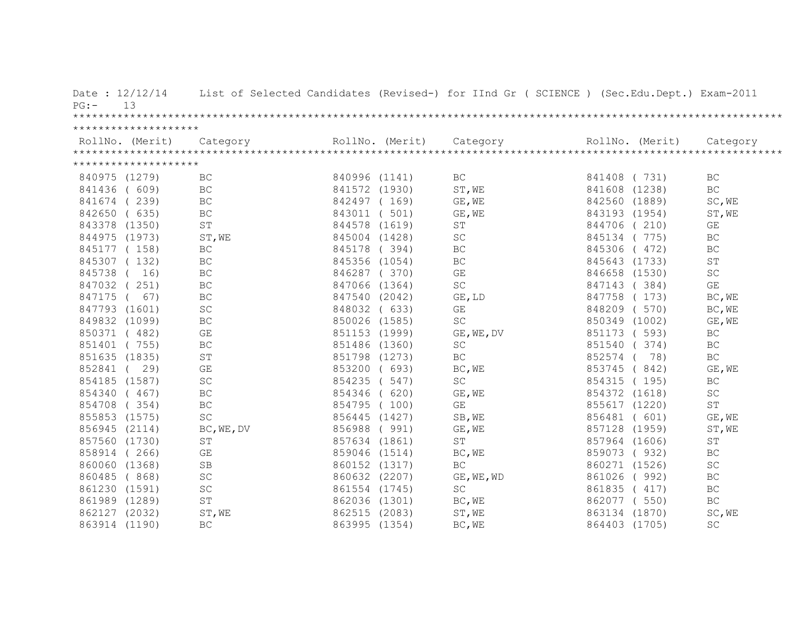| Date: 12/12/14<br>13<br>$PG: -$ | List of Selected Candidates (Revised-) for IInd Gr ( SCIENCE ) (Sec.Edu.Dept.) Exam-2011 |                 |                         |          |                 |                     |
|---------------------------------|------------------------------------------------------------------------------------------|-----------------|-------------------------|----------|-----------------|---------------------|
| ********************            |                                                                                          |                 |                         |          |                 |                     |
| RollNo. (Merit)                 | Category                                                                                 | RollNo. (Merit) | Category                |          | RollNo. (Merit) | Category            |
| ********************            |                                                                                          |                 |                         |          |                 |                     |
|                                 |                                                                                          |                 |                         |          |                 |                     |
| 840975 (1279)                   | <b>BC</b>                                                                                | 840996 (1141)   | BC                      |          | 841408 (731)    | <b>BC</b>           |
| 841436<br>(609)                 | $\operatorname{BC}$                                                                      | 841572 (1930)   | ST, WE                  |          | 841608 (1238)   | $\operatorname{BC}$ |
| 841674<br>(239)                 | BC                                                                                       | 842497 (169)    | GE, WE                  |          | 842560 (1889)   | SC, WE              |
| 842650<br>(635)                 | BC                                                                                       | 843011 ( 501)   | GE, WE                  |          | 843193 (1954)   | ST, WE              |
| 843378 (1350)                   | ST                                                                                       | 844578 (1619)   | ST                      |          | 844706 (210)    | GE                  |
| 844975 (1973)                   | ST, WE                                                                                   | 845004 (1428)   | SC                      | 845134   | (775)           | <b>BC</b>           |
| 845177 (158)                    | $\operatorname{BC}$                                                                      | 845178 (394)    | BC                      | 845306   | (472)           | $\operatorname{BC}$ |
| 845307 (132)                    | $\operatorname{BC}$                                                                      | 845356 (1054)   | BC                      |          | 845643 (1733)   | $\operatorname{ST}$ |
| 845738<br>16)                   | BC                                                                                       | 846287 (370)    | $\mathbb{G}\mathcal{E}$ |          | 846658 (1530)   | <b>SC</b>           |
| 847032 (251)                    | BC                                                                                       | 847066 (1364)   | <b>SC</b>               |          | 847143 (384)    | GE                  |
| 847175 (<br>67)                 | $\operatorname{BC}$                                                                      | 847540 (2042)   | GE, LD                  |          | 847758 (173)    | BC, WE              |
| 847793 (1601)                   | SC                                                                                       | 848032 ( 633)   | $\mathbb{G}\mathcal{E}$ |          | 848209 (570)    | BC, WE              |
| 849832 (1099)                   | $\operatorname{BC}$                                                                      | 850026 (1585)   | SC                      |          | 850349 (1002)   | GE, WE              |
| 850371 (482)                    | GE                                                                                       | 851153 (1999)   | GE, WE, DV              |          | 851173 ( 593)   | <b>BC</b>           |
| 851401 (755)                    | BC                                                                                       | 851486 (1360)   | $\operatorname{SC}$     |          | 851540 (374)    | <b>BC</b>           |
| 851635 (1835)                   | $\operatorname{ST}$                                                                      | 851798 (1273)   | $\operatorname{BC}$     | 852574 ( | 78)             | $\operatorname{BC}$ |
| 852841 ( 29)                    | GE                                                                                       | 853200 ( 693)   | BC, WE                  |          | 853745 (842)    | GE, WE              |
| 854185 (1587)                   | SC                                                                                       | 854235 ( 547)   | $\operatorname{SC}$     |          | 854315 (195)    | BC                  |
| 854340 (467)                    | BC                                                                                       | 854346 ( 620)   | GE, WE                  |          | 854372 (1618)   | <b>SC</b>           |
| 854708 (354)                    | BC                                                                                       | 854795 (100)    | GE                      |          | 855617 (1220)   | ST                  |
| 855853 (1575)                   | $\operatorname{SC}$                                                                      | 856445 (1427)   | SB, WE                  |          | 856481 ( 601)   | GE, WE              |
| 856945 (2114)                   | BC, WE, DV                                                                               | 856988 (991)    | GE, WE                  |          | 857128 (1959)   | ST, WE              |
| 857560 (1730)                   | $\operatorname{ST}$                                                                      | 857634 (1861)   | ST                      |          | 857964 (1606)   | ST                  |
| 858914 (266)                    | GE                                                                                       | 859046 (1514)   | BC, WE                  |          | 859073 (932)    | $\operatorname{BC}$ |
| 860060 (1368)                   | $\mbox{SB}$                                                                              | 860152 (1317)   | $\operatorname{BC}$     |          | 860271 (1526)   | $\operatorname{SC}$ |
| 860485 (868)                    | $\operatorname{SC}$                                                                      | 860632 (2207)   | GE, WE, WD              |          | 861026 ( 992)   | $\operatorname{BC}$ |
| 861230 (1591)                   | $\operatorname{SC}$                                                                      | 861554 (1745)   | $\operatorname{SC}$     | 861835   | (417)           | BC                  |
| 861989 (1289)                   | ST                                                                                       | 862036 (1301)   | BC, WE                  |          | 862077 (550)    | BC                  |
| 862127 (2032)                   | ST, WE                                                                                   | 862515 (2083)   | ST, WE                  |          | 863134 (1870)   | SC, WE              |
| 863914 (1190)                   | <b>BC</b>                                                                                | 863995 (1354)   | BC, WE                  |          | 864403 (1705)   | SC                  |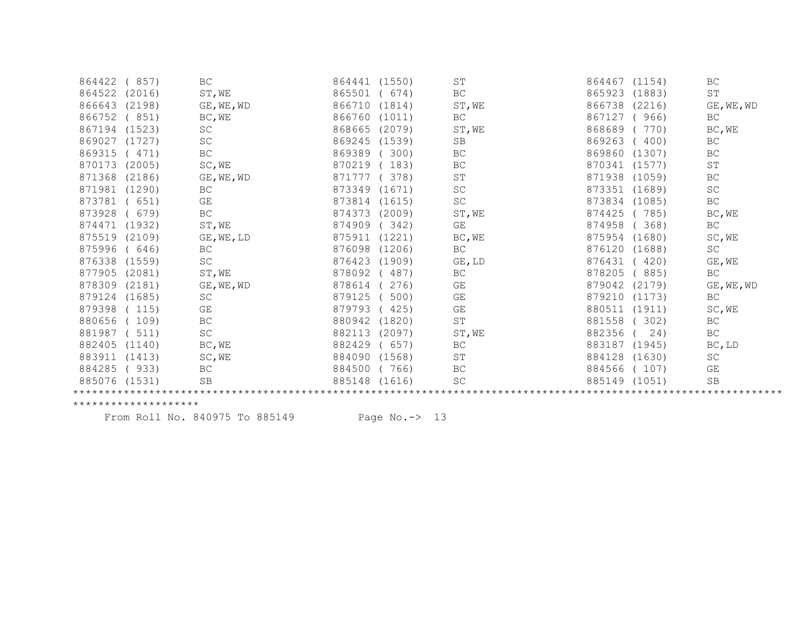| 864422        | 857)   | BC                      | 864441<br>(1550) | ST                      | 864467<br>(1154) | BC                  |  |
|---------------|--------|-------------------------|------------------|-------------------------|------------------|---------------------|--|
| 864522        | (2016) | ST, WE                  | 865501<br>674)   | BC                      | 865923<br>(1883) | ST                  |  |
| 866643        | (2198) | GE, WE, WD              | 866710<br>(1814) | ST, WE                  | 866738<br>(2216) | GE, WE, WD          |  |
| 866752        | (851)  | BC, WE                  | 866760<br>(1011) | $\operatorname{BC}$     | 867127<br>(966)  | BC                  |  |
| 867194        | (1523) | SC                      | 868665<br>(2079) | ST, WE                  | 868689<br>770)   | BC, WE              |  |
| 869027        | (1727) | $\operatorname{SC}$     | 869245<br>(1539) | SB                      | 869263<br>(400)  | BC                  |  |
| 869315        | (471)  | BC                      | 869389<br>300)   | BC                      | 869860<br>(1307) | BC                  |  |
| 870173        | (2005) | SC, WE                  | 870219<br>183)   | BC                      | 870341<br>(1577) | ST                  |  |
| 871368        | (2186) | GE, WE, WD              | 871777<br>378)   | ST                      | 871938<br>(1059) | BC                  |  |
| 871981        | (1290) | BC                      | 873349<br>(1671) | $\operatorname{SC}$     | 873351<br>(1689) | SC                  |  |
| 873781        | 651)   | $\mathbb{G}\mathcal{E}$ | 873814<br>(1615) | SC                      | 873834<br>(1085) | $\operatorname{BC}$ |  |
| 873928        | 679)   | $\operatorname{BC}$     | 874373<br>(2009) | ST, WE                  | 785)<br>874425   | BC, WE              |  |
| 874471        | (1932) | ST, WE                  | 874909<br>342)   | $\mathbb{G}\mathcal{E}$ | 874958<br>368)   | BC                  |  |
| 875519        | (2109) | GE, WE, LD              | 875911<br>(1221) | BC, WE                  | 875954<br>(1680) | SC, WE              |  |
| 875996        | (646)  | <b>BC</b>               | 876098<br>(1206) | <b>BC</b>               | 876120<br>(1688) | <b>SC</b>           |  |
| 876338        | (1559) | $\operatorname{SC}$     | 876423<br>(1909) | GE, LD                  | 876431<br>420)   | GE, WE              |  |
| 877905        | (2081) | ST, WE                  | 878092<br>487)   | BC                      | 878205<br>(885)  | BC                  |  |
| 878309        | (2181) | GE, WE, WD              | 878614<br>276)   | GE                      | 879042<br>(2179) | GE, WE, WD          |  |
| 879124        | (1685) | SC                      | 879125<br>500)   | $\mathbb{G}\mathcal{E}$ | 879210<br>(1173) | BC                  |  |
| 879398        | 115)   | GE                      | 879793<br>425)   | GE                      | 880511<br>(1911) | SC, WE              |  |
| 880656        | 109)   | $\operatorname{BC}$     | 880942<br>(1820) | $\operatorname{ST}$     | 881558<br>(302)  | BC                  |  |
| 881987        | 511)   | $\operatorname{SC}$     | 882113<br>(2097) | ST, WE                  | 882356<br>24)    | BC                  |  |
| 882405        | (1140) | BC, WE                  | 882429<br>657)   | BC                      | 883187<br>(1945) | BC, LD              |  |
| 883911        | (1413) | SC, WE                  | 884090<br>(1568) | ST                      | 884128<br>(1630) | SC                  |  |
| 884285        | (933)  | $\operatorname{BC}$     | 884500<br>766)   | BC                      | 884566<br>(107)  | GE                  |  |
| 885076 (1531) |        | SB                      | 885148<br>(1616) | SC                      | 885149<br>(1051) | SB                  |  |
|               |        |                         |                  |                         |                  |                     |  |

From Roll No. 840975 To 885149 Page No.-> 13